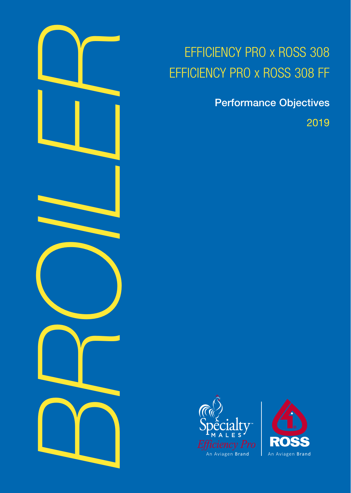

# EFFICIENCY PRO x ROSS 308 EFFICIENCY PRO x ROSS 308 FF

Performance Objectives

2019



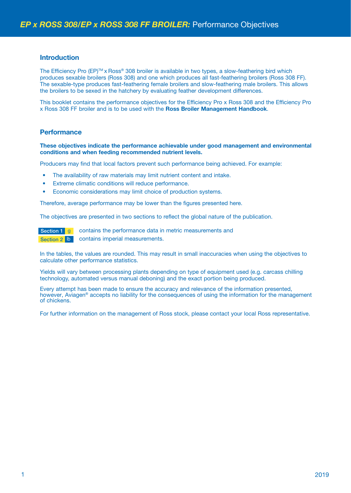### **Introduction**

The Efficiency Pro (EP)™ x Ross® 308 broiler is available in two types, a slow-feathering bird which produces sexable broilers (Ross 308) and one which produces all fast-feathering broilers (Ross 308 FF). The sexable-type produces fast-feathering female broilers and slow-feathering male broilers. This allows the broilers to be sexed in the hatchery by evaluating feather development differences.

This booklet contains the performance objectives for the Efficiency Pro x Ross 308 and the Efficiency Pro x Ross 308 FF broiler and is to be used with the **Ross Broiler Management Handbook**.

#### **Performance**

#### **These objectives indicate the performance achievable under good management and environmental conditions and when feeding recommended nutrient levels.**

Producers may find that local factors prevent such performance being achieved. For example:

- The availability of raw materials may limit nutrient content and intake.
- Extreme climatic conditions will reduce performance.
- Economic considerations may limit choice of production systems.

Therefore, average performance may be lower than the figures presented here.

The objectives are presented in two sections to reflect the global nature of the publication.

Section 1 g contains the performance data in metric measurements and Section 2 **lb** contains imperial measurements.

In the tables, the values are rounded. This may result in small inaccuracies when using the objectives to calculate other performance statistics.

Yields will vary between processing plants depending on type of equipment used (e.g. carcass chilling technology, automated versus manual deboning) and the exact portion being produced.

Every attempt has been made to ensure the accuracy and relevance of the information presented, however, Aviagen<sup>®</sup> accepts no liability for the consequences of using the information for the management of chickens.

For further information on the management of Ross stock, please contact your local Ross representative.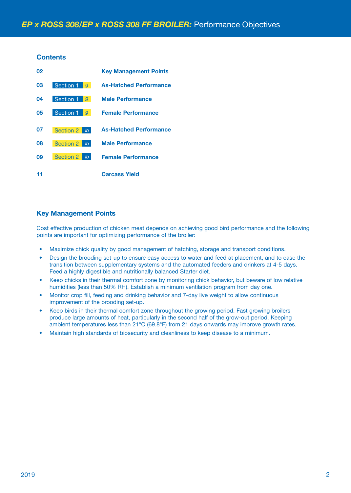## **Contents**

| 02 |                                   | <b>Key Management Points</b>  |
|----|-----------------------------------|-------------------------------|
| 03 | Section 1<br>$\overline{q}$       | <b>As-Hatched Performance</b> |
| 04 | Section 1<br>g                    | <b>Male Performance</b>       |
| 05 | Section 1<br>$\mathfrak{g}$       | <b>Female Performance</b>     |
| 07 | <b>Section 2</b><br>$\mathsf{lb}$ | <b>As-Hatched Performance</b> |
| 08 | Section 2<br>$\mathbb{I}$         | <b>Male Performance</b>       |
| 09 | Section 2<br>$\mathsf{lb}$        | <b>Female Performance</b>     |
|    |                                   | <b>Carcass Yield</b>          |

# **Key Management Points**

Cost effective production of chicken meat depends on achieving good bird performance and the following points are important for optimizing performance of the broiler:

- Maximize chick quality by good management of hatching, storage and transport conditions.
- Design the brooding set-up to ensure easy access to water and feed at placement, and to ease the transition between supplementary systems and the automated feeders and drinkers at 4-5 days. Feed a highly digestible and nutritionally balanced Starter diet.
- Keep chicks in their thermal comfort zone by monitoring chick behavior, but beware of low relative humidities (less than 50% RH). Establish a minimum ventilation program from day one.
- Monitor crop fill, feeding and drinking behavior and 7-day live weight to allow continuous improvement of the brooding set-up.
- Keep birds in their thermal comfort zone throughout the growing period. Fast growing broilers produce large amounts of heat, particularly in the second half of the grow-out period. Keeping ambient temperatures less than 21°C (69.8°F) from 21 days onwards may improve growth rates.
- Maintain high standards of biosecurity and cleanliness to keep disease to a minimum.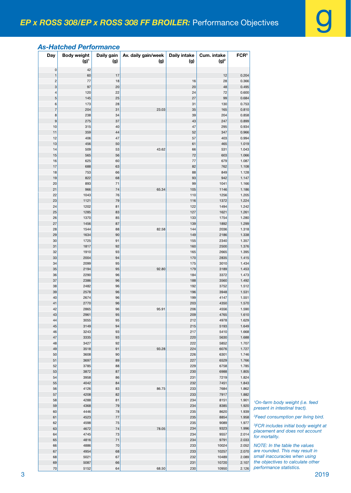# *As-Hatched Performance*

| 0<br>42<br>$\mathbf 1$<br>60<br>12<br>0.204<br>17<br>$\overline{\mathbf{c}}$<br>77<br>18<br>0.366<br>16<br>28<br>3<br>97<br>20<br>20<br>48<br>0.495<br>4<br>0.600<br>120<br>22<br>24<br>72<br>5<br>0.684<br>145<br>27<br>25<br>99<br>6<br>173<br>31<br>130<br>0.753<br>28<br>$\overline{7}$<br>23.03<br>165<br>204<br>31<br>35<br>0.810<br>8<br>238<br>34<br>39<br>204<br>0.858<br>9<br>275<br>37<br>43<br>247<br>0.899<br>10<br>0.934<br>315<br>40<br>47<br>295<br>11<br>359<br>44<br>347<br>0.966<br>52<br>57<br>403<br>0.994<br>12<br>406<br>47<br>13<br>456<br>50<br>465<br>1.019<br>61<br>509<br>53<br>43.62<br>1.043<br>14<br>66<br>531<br>72<br>603<br>1.066<br>15<br>565<br>56<br>625<br>60<br>77<br>679<br>1.087<br>16<br>17<br>688<br>82<br>1.108<br>63<br>762<br>753<br>1.128<br>18<br>66<br>88<br>849<br>19<br>822<br>68<br>93<br>942<br>1.147<br>893<br>71<br>1.166<br>20<br>99<br>1041<br>21<br>966<br>74<br>65.34<br>105<br>1.186<br>1146<br>22<br>1043<br>76<br>110<br>1256<br>1.205<br>23<br>1121<br>1372<br>1.224<br>79<br>116<br>24<br>1202<br>122<br>1494<br>1.242<br>81<br>25<br>1285<br>83<br>127<br>1621<br>1.261<br>1370<br>85<br>1754<br>1.280<br>26<br>133<br>27<br>1456<br>87<br>139<br>1892<br>1.299<br>1544<br>82.58<br>2036<br>1.318<br>28<br>88<br>144<br>29<br>1634<br>90<br>149<br>2186<br>1.338<br>30<br>91<br>1.357<br>1725<br>155<br>2340<br>31<br>1817<br>92<br>160<br>2500<br>1.376<br>32<br>1910<br>93<br>165<br>2665<br>1.395<br>33<br>2004<br>1.415<br>94<br>170<br>2835<br>34<br>2099<br>95<br>175<br>3010<br>1.434<br>35<br>2194<br>95<br>92.80<br>179<br>3189<br>1.453<br>36<br>2290<br>1.473<br>96<br>184<br>3372<br>37<br>2386<br>96<br>188<br>3560<br>1.492<br>38<br>2482<br>192<br>3752<br>1.512<br>96<br>39<br>2578<br>96<br>196<br>3948<br>1.531<br>40<br>96<br>199<br>4147<br>1.551<br>2674<br>2770<br>41<br>96<br>203<br>4350<br>1.570<br>2865<br>206<br>96<br>95.91<br>4556<br>1.590<br>42<br>43<br>95<br>209<br>4765<br>1.610<br>2961<br>44<br>3055<br>95<br>4978<br>1.629<br>212<br>45<br>3149<br>94<br>215<br>5193<br>1.649<br>46<br>93<br>5410<br>3243<br>217<br>1.668<br>47<br>3335<br>93<br>5630<br>1.688<br>220<br>48<br>3427<br>92<br>222<br>5852<br>1.707<br>49<br>3518<br>91<br>93.28<br>6076<br>224<br>1.727<br>50<br>3608<br>90<br>226<br>6301<br>1.746<br>51<br>3697<br>227<br>6529<br>1.766<br>89<br>52<br>88<br>6758<br>1.785<br>3785<br>229<br>53<br>3872<br>6988<br>1.805<br>87<br>230<br>54<br>3958<br>231<br>7219<br>1.824<br>86<br>4042<br>84<br>7451<br>1.843<br>55<br>232<br>4126<br>86.75<br>7684<br>1.862<br>56<br>83<br>233<br>57<br>4208<br>82<br>233<br>7917<br>1.882<br>58<br>4288<br>81<br>234<br>8151<br>1.901<br><sup>1</sup> On-farn<br>59<br>4368<br>79<br>234<br>8385<br>1.920<br>present<br>4446<br>235<br>8620<br>1.939<br>60<br>78<br>4523<br>$77 \,$<br>8854<br>1.958<br>61<br>235<br>9089<br>62<br>4598<br>75<br>235<br>1.977<br><sup>3</sup> FCR ind<br>234<br>9323<br>1.996<br>63<br>4672<br>78.05<br>74<br>placeme<br>9557<br>2.014<br>64<br>4745<br>73<br>234<br>65<br>4816<br>71<br>234<br>9791<br>2.033<br><b>NOTE: li</b><br>4886<br>70<br>10024<br>2.052<br>66<br>233<br>4954<br>10257<br>are roun<br>67<br>68<br>233<br>2.070<br>small ina<br>5021<br>67<br>232<br>10489<br>2.089<br>68<br>the obje<br>69<br>5087<br>10720<br>2.107<br>66<br>231 | Day    | <b>Body weight</b> | Daily gain | Av. daily gain/week | <b>Daily intake</b> | Cum. intake | FCR <sup>3</sup> |                      |
|-------------------------------------------------------------------------------------------------------------------------------------------------------------------------------------------------------------------------------------------------------------------------------------------------------------------------------------------------------------------------------------------------------------------------------------------------------------------------------------------------------------------------------------------------------------------------------------------------------------------------------------------------------------------------------------------------------------------------------------------------------------------------------------------------------------------------------------------------------------------------------------------------------------------------------------------------------------------------------------------------------------------------------------------------------------------------------------------------------------------------------------------------------------------------------------------------------------------------------------------------------------------------------------------------------------------------------------------------------------------------------------------------------------------------------------------------------------------------------------------------------------------------------------------------------------------------------------------------------------------------------------------------------------------------------------------------------------------------------------------------------------------------------------------------------------------------------------------------------------------------------------------------------------------------------------------------------------------------------------------------------------------------------------------------------------------------------------------------------------------------------------------------------------------------------------------------------------------------------------------------------------------------------------------------------------------------------------------------------------------------------------------------------------------------------------------------------------------------------------------------------------------------------------------------------------------------------------------------------------------------------------------------------------------------------------------------------------------------------------------------------------------------------------------------------------------------------------------------------------------------------------------------------------------------------------------------------------------------------------------------------------------------------------------------------------------------------------------------------------------------------------------------------------------------------------------------------------------------------------------------------------------------------------------------------------------------------------------------------|--------|--------------------|------------|---------------------|---------------------|-------------|------------------|----------------------|
|                                                                                                                                                                                                                                                                                                                                                                                                                                                                                                                                                                                                                                                                                                                                                                                                                                                                                                                                                                                                                                                                                                                                                                                                                                                                                                                                                                                                                                                                                                                                                                                                                                                                                                                                                                                                                                                                                                                                                                                                                                                                                                                                                                                                                                                                                                                                                                                                                                                                                                                                                                                                                                                                                                                                                                                                                                                                                                                                                                                                                                                                                                                                                                                                                                                                                                                                                       |        | $(g)^{1}$          | (g)        | (g)                 | (g)                 | $(g)^2$     |                  |                      |
|                                                                                                                                                                                                                                                                                                                                                                                                                                                                                                                                                                                                                                                                                                                                                                                                                                                                                                                                                                                                                                                                                                                                                                                                                                                                                                                                                                                                                                                                                                                                                                                                                                                                                                                                                                                                                                                                                                                                                                                                                                                                                                                                                                                                                                                                                                                                                                                                                                                                                                                                                                                                                                                                                                                                                                                                                                                                                                                                                                                                                                                                                                                                                                                                                                                                                                                                                       |        |                    |            |                     |                     |             |                  |                      |
|                                                                                                                                                                                                                                                                                                                                                                                                                                                                                                                                                                                                                                                                                                                                                                                                                                                                                                                                                                                                                                                                                                                                                                                                                                                                                                                                                                                                                                                                                                                                                                                                                                                                                                                                                                                                                                                                                                                                                                                                                                                                                                                                                                                                                                                                                                                                                                                                                                                                                                                                                                                                                                                                                                                                                                                                                                                                                                                                                                                                                                                                                                                                                                                                                                                                                                                                                       |        |                    |            |                     |                     |             |                  |                      |
|                                                                                                                                                                                                                                                                                                                                                                                                                                                                                                                                                                                                                                                                                                                                                                                                                                                                                                                                                                                                                                                                                                                                                                                                                                                                                                                                                                                                                                                                                                                                                                                                                                                                                                                                                                                                                                                                                                                                                                                                                                                                                                                                                                                                                                                                                                                                                                                                                                                                                                                                                                                                                                                                                                                                                                                                                                                                                                                                                                                                                                                                                                                                                                                                                                                                                                                                                       |        |                    |            |                     |                     |             |                  |                      |
|                                                                                                                                                                                                                                                                                                                                                                                                                                                                                                                                                                                                                                                                                                                                                                                                                                                                                                                                                                                                                                                                                                                                                                                                                                                                                                                                                                                                                                                                                                                                                                                                                                                                                                                                                                                                                                                                                                                                                                                                                                                                                                                                                                                                                                                                                                                                                                                                                                                                                                                                                                                                                                                                                                                                                                                                                                                                                                                                                                                                                                                                                                                                                                                                                                                                                                                                                       |        |                    |            |                     |                     |             |                  |                      |
|                                                                                                                                                                                                                                                                                                                                                                                                                                                                                                                                                                                                                                                                                                                                                                                                                                                                                                                                                                                                                                                                                                                                                                                                                                                                                                                                                                                                                                                                                                                                                                                                                                                                                                                                                                                                                                                                                                                                                                                                                                                                                                                                                                                                                                                                                                                                                                                                                                                                                                                                                                                                                                                                                                                                                                                                                                                                                                                                                                                                                                                                                                                                                                                                                                                                                                                                                       |        |                    |            |                     |                     |             |                  |                      |
|                                                                                                                                                                                                                                                                                                                                                                                                                                                                                                                                                                                                                                                                                                                                                                                                                                                                                                                                                                                                                                                                                                                                                                                                                                                                                                                                                                                                                                                                                                                                                                                                                                                                                                                                                                                                                                                                                                                                                                                                                                                                                                                                                                                                                                                                                                                                                                                                                                                                                                                                                                                                                                                                                                                                                                                                                                                                                                                                                                                                                                                                                                                                                                                                                                                                                                                                                       |        |                    |            |                     |                     |             |                  |                      |
|                                                                                                                                                                                                                                                                                                                                                                                                                                                                                                                                                                                                                                                                                                                                                                                                                                                                                                                                                                                                                                                                                                                                                                                                                                                                                                                                                                                                                                                                                                                                                                                                                                                                                                                                                                                                                                                                                                                                                                                                                                                                                                                                                                                                                                                                                                                                                                                                                                                                                                                                                                                                                                                                                                                                                                                                                                                                                                                                                                                                                                                                                                                                                                                                                                                                                                                                                       |        |                    |            |                     |                     |             |                  |                      |
|                                                                                                                                                                                                                                                                                                                                                                                                                                                                                                                                                                                                                                                                                                                                                                                                                                                                                                                                                                                                                                                                                                                                                                                                                                                                                                                                                                                                                                                                                                                                                                                                                                                                                                                                                                                                                                                                                                                                                                                                                                                                                                                                                                                                                                                                                                                                                                                                                                                                                                                                                                                                                                                                                                                                                                                                                                                                                                                                                                                                                                                                                                                                                                                                                                                                                                                                                       |        |                    |            |                     |                     |             |                  |                      |
|                                                                                                                                                                                                                                                                                                                                                                                                                                                                                                                                                                                                                                                                                                                                                                                                                                                                                                                                                                                                                                                                                                                                                                                                                                                                                                                                                                                                                                                                                                                                                                                                                                                                                                                                                                                                                                                                                                                                                                                                                                                                                                                                                                                                                                                                                                                                                                                                                                                                                                                                                                                                                                                                                                                                                                                                                                                                                                                                                                                                                                                                                                                                                                                                                                                                                                                                                       |        |                    |            |                     |                     |             |                  |                      |
|                                                                                                                                                                                                                                                                                                                                                                                                                                                                                                                                                                                                                                                                                                                                                                                                                                                                                                                                                                                                                                                                                                                                                                                                                                                                                                                                                                                                                                                                                                                                                                                                                                                                                                                                                                                                                                                                                                                                                                                                                                                                                                                                                                                                                                                                                                                                                                                                                                                                                                                                                                                                                                                                                                                                                                                                                                                                                                                                                                                                                                                                                                                                                                                                                                                                                                                                                       |        |                    |            |                     |                     |             |                  |                      |
|                                                                                                                                                                                                                                                                                                                                                                                                                                                                                                                                                                                                                                                                                                                                                                                                                                                                                                                                                                                                                                                                                                                                                                                                                                                                                                                                                                                                                                                                                                                                                                                                                                                                                                                                                                                                                                                                                                                                                                                                                                                                                                                                                                                                                                                                                                                                                                                                                                                                                                                                                                                                                                                                                                                                                                                                                                                                                                                                                                                                                                                                                                                                                                                                                                                                                                                                                       |        |                    |            |                     |                     |             |                  |                      |
|                                                                                                                                                                                                                                                                                                                                                                                                                                                                                                                                                                                                                                                                                                                                                                                                                                                                                                                                                                                                                                                                                                                                                                                                                                                                                                                                                                                                                                                                                                                                                                                                                                                                                                                                                                                                                                                                                                                                                                                                                                                                                                                                                                                                                                                                                                                                                                                                                                                                                                                                                                                                                                                                                                                                                                                                                                                                                                                                                                                                                                                                                                                                                                                                                                                                                                                                                       |        |                    |            |                     |                     |             |                  |                      |
|                                                                                                                                                                                                                                                                                                                                                                                                                                                                                                                                                                                                                                                                                                                                                                                                                                                                                                                                                                                                                                                                                                                                                                                                                                                                                                                                                                                                                                                                                                                                                                                                                                                                                                                                                                                                                                                                                                                                                                                                                                                                                                                                                                                                                                                                                                                                                                                                                                                                                                                                                                                                                                                                                                                                                                                                                                                                                                                                                                                                                                                                                                                                                                                                                                                                                                                                                       |        |                    |            |                     |                     |             |                  |                      |
|                                                                                                                                                                                                                                                                                                                                                                                                                                                                                                                                                                                                                                                                                                                                                                                                                                                                                                                                                                                                                                                                                                                                                                                                                                                                                                                                                                                                                                                                                                                                                                                                                                                                                                                                                                                                                                                                                                                                                                                                                                                                                                                                                                                                                                                                                                                                                                                                                                                                                                                                                                                                                                                                                                                                                                                                                                                                                                                                                                                                                                                                                                                                                                                                                                                                                                                                                       |        |                    |            |                     |                     |             |                  |                      |
|                                                                                                                                                                                                                                                                                                                                                                                                                                                                                                                                                                                                                                                                                                                                                                                                                                                                                                                                                                                                                                                                                                                                                                                                                                                                                                                                                                                                                                                                                                                                                                                                                                                                                                                                                                                                                                                                                                                                                                                                                                                                                                                                                                                                                                                                                                                                                                                                                                                                                                                                                                                                                                                                                                                                                                                                                                                                                                                                                                                                                                                                                                                                                                                                                                                                                                                                                       |        |                    |            |                     |                     |             |                  |                      |
|                                                                                                                                                                                                                                                                                                                                                                                                                                                                                                                                                                                                                                                                                                                                                                                                                                                                                                                                                                                                                                                                                                                                                                                                                                                                                                                                                                                                                                                                                                                                                                                                                                                                                                                                                                                                                                                                                                                                                                                                                                                                                                                                                                                                                                                                                                                                                                                                                                                                                                                                                                                                                                                                                                                                                                                                                                                                                                                                                                                                                                                                                                                                                                                                                                                                                                                                                       |        |                    |            |                     |                     |             |                  |                      |
|                                                                                                                                                                                                                                                                                                                                                                                                                                                                                                                                                                                                                                                                                                                                                                                                                                                                                                                                                                                                                                                                                                                                                                                                                                                                                                                                                                                                                                                                                                                                                                                                                                                                                                                                                                                                                                                                                                                                                                                                                                                                                                                                                                                                                                                                                                                                                                                                                                                                                                                                                                                                                                                                                                                                                                                                                                                                                                                                                                                                                                                                                                                                                                                                                                                                                                                                                       |        |                    |            |                     |                     |             |                  |                      |
|                                                                                                                                                                                                                                                                                                                                                                                                                                                                                                                                                                                                                                                                                                                                                                                                                                                                                                                                                                                                                                                                                                                                                                                                                                                                                                                                                                                                                                                                                                                                                                                                                                                                                                                                                                                                                                                                                                                                                                                                                                                                                                                                                                                                                                                                                                                                                                                                                                                                                                                                                                                                                                                                                                                                                                                                                                                                                                                                                                                                                                                                                                                                                                                                                                                                                                                                                       |        |                    |            |                     |                     |             |                  |                      |
|                                                                                                                                                                                                                                                                                                                                                                                                                                                                                                                                                                                                                                                                                                                                                                                                                                                                                                                                                                                                                                                                                                                                                                                                                                                                                                                                                                                                                                                                                                                                                                                                                                                                                                                                                                                                                                                                                                                                                                                                                                                                                                                                                                                                                                                                                                                                                                                                                                                                                                                                                                                                                                                                                                                                                                                                                                                                                                                                                                                                                                                                                                                                                                                                                                                                                                                                                       |        |                    |            |                     |                     |             |                  |                      |
|                                                                                                                                                                                                                                                                                                                                                                                                                                                                                                                                                                                                                                                                                                                                                                                                                                                                                                                                                                                                                                                                                                                                                                                                                                                                                                                                                                                                                                                                                                                                                                                                                                                                                                                                                                                                                                                                                                                                                                                                                                                                                                                                                                                                                                                                                                                                                                                                                                                                                                                                                                                                                                                                                                                                                                                                                                                                                                                                                                                                                                                                                                                                                                                                                                                                                                                                                       |        |                    |            |                     |                     |             |                  |                      |
|                                                                                                                                                                                                                                                                                                                                                                                                                                                                                                                                                                                                                                                                                                                                                                                                                                                                                                                                                                                                                                                                                                                                                                                                                                                                                                                                                                                                                                                                                                                                                                                                                                                                                                                                                                                                                                                                                                                                                                                                                                                                                                                                                                                                                                                                                                                                                                                                                                                                                                                                                                                                                                                                                                                                                                                                                                                                                                                                                                                                                                                                                                                                                                                                                                                                                                                                                       |        |                    |            |                     |                     |             |                  |                      |
|                                                                                                                                                                                                                                                                                                                                                                                                                                                                                                                                                                                                                                                                                                                                                                                                                                                                                                                                                                                                                                                                                                                                                                                                                                                                                                                                                                                                                                                                                                                                                                                                                                                                                                                                                                                                                                                                                                                                                                                                                                                                                                                                                                                                                                                                                                                                                                                                                                                                                                                                                                                                                                                                                                                                                                                                                                                                                                                                                                                                                                                                                                                                                                                                                                                                                                                                                       |        |                    |            |                     |                     |             |                  |                      |
|                                                                                                                                                                                                                                                                                                                                                                                                                                                                                                                                                                                                                                                                                                                                                                                                                                                                                                                                                                                                                                                                                                                                                                                                                                                                                                                                                                                                                                                                                                                                                                                                                                                                                                                                                                                                                                                                                                                                                                                                                                                                                                                                                                                                                                                                                                                                                                                                                                                                                                                                                                                                                                                                                                                                                                                                                                                                                                                                                                                                                                                                                                                                                                                                                                                                                                                                                       |        |                    |            |                     |                     |             |                  |                      |
|                                                                                                                                                                                                                                                                                                                                                                                                                                                                                                                                                                                                                                                                                                                                                                                                                                                                                                                                                                                                                                                                                                                                                                                                                                                                                                                                                                                                                                                                                                                                                                                                                                                                                                                                                                                                                                                                                                                                                                                                                                                                                                                                                                                                                                                                                                                                                                                                                                                                                                                                                                                                                                                                                                                                                                                                                                                                                                                                                                                                                                                                                                                                                                                                                                                                                                                                                       |        |                    |            |                     |                     |             |                  |                      |
|                                                                                                                                                                                                                                                                                                                                                                                                                                                                                                                                                                                                                                                                                                                                                                                                                                                                                                                                                                                                                                                                                                                                                                                                                                                                                                                                                                                                                                                                                                                                                                                                                                                                                                                                                                                                                                                                                                                                                                                                                                                                                                                                                                                                                                                                                                                                                                                                                                                                                                                                                                                                                                                                                                                                                                                                                                                                                                                                                                                                                                                                                                                                                                                                                                                                                                                                                       |        |                    |            |                     |                     |             |                  |                      |
|                                                                                                                                                                                                                                                                                                                                                                                                                                                                                                                                                                                                                                                                                                                                                                                                                                                                                                                                                                                                                                                                                                                                                                                                                                                                                                                                                                                                                                                                                                                                                                                                                                                                                                                                                                                                                                                                                                                                                                                                                                                                                                                                                                                                                                                                                                                                                                                                                                                                                                                                                                                                                                                                                                                                                                                                                                                                                                                                                                                                                                                                                                                                                                                                                                                                                                                                                       |        |                    |            |                     |                     |             |                  |                      |
|                                                                                                                                                                                                                                                                                                                                                                                                                                                                                                                                                                                                                                                                                                                                                                                                                                                                                                                                                                                                                                                                                                                                                                                                                                                                                                                                                                                                                                                                                                                                                                                                                                                                                                                                                                                                                                                                                                                                                                                                                                                                                                                                                                                                                                                                                                                                                                                                                                                                                                                                                                                                                                                                                                                                                                                                                                                                                                                                                                                                                                                                                                                                                                                                                                                                                                                                                       |        |                    |            |                     |                     |             |                  |                      |
|                                                                                                                                                                                                                                                                                                                                                                                                                                                                                                                                                                                                                                                                                                                                                                                                                                                                                                                                                                                                                                                                                                                                                                                                                                                                                                                                                                                                                                                                                                                                                                                                                                                                                                                                                                                                                                                                                                                                                                                                                                                                                                                                                                                                                                                                                                                                                                                                                                                                                                                                                                                                                                                                                                                                                                                                                                                                                                                                                                                                                                                                                                                                                                                                                                                                                                                                                       |        |                    |            |                     |                     |             |                  |                      |
|                                                                                                                                                                                                                                                                                                                                                                                                                                                                                                                                                                                                                                                                                                                                                                                                                                                                                                                                                                                                                                                                                                                                                                                                                                                                                                                                                                                                                                                                                                                                                                                                                                                                                                                                                                                                                                                                                                                                                                                                                                                                                                                                                                                                                                                                                                                                                                                                                                                                                                                                                                                                                                                                                                                                                                                                                                                                                                                                                                                                                                                                                                                                                                                                                                                                                                                                                       |        |                    |            |                     |                     |             |                  |                      |
|                                                                                                                                                                                                                                                                                                                                                                                                                                                                                                                                                                                                                                                                                                                                                                                                                                                                                                                                                                                                                                                                                                                                                                                                                                                                                                                                                                                                                                                                                                                                                                                                                                                                                                                                                                                                                                                                                                                                                                                                                                                                                                                                                                                                                                                                                                                                                                                                                                                                                                                                                                                                                                                                                                                                                                                                                                                                                                                                                                                                                                                                                                                                                                                                                                                                                                                                                       |        |                    |            |                     |                     |             |                  |                      |
|                                                                                                                                                                                                                                                                                                                                                                                                                                                                                                                                                                                                                                                                                                                                                                                                                                                                                                                                                                                                                                                                                                                                                                                                                                                                                                                                                                                                                                                                                                                                                                                                                                                                                                                                                                                                                                                                                                                                                                                                                                                                                                                                                                                                                                                                                                                                                                                                                                                                                                                                                                                                                                                                                                                                                                                                                                                                                                                                                                                                                                                                                                                                                                                                                                                                                                                                                       |        |                    |            |                     |                     |             |                  |                      |
|                                                                                                                                                                                                                                                                                                                                                                                                                                                                                                                                                                                                                                                                                                                                                                                                                                                                                                                                                                                                                                                                                                                                                                                                                                                                                                                                                                                                                                                                                                                                                                                                                                                                                                                                                                                                                                                                                                                                                                                                                                                                                                                                                                                                                                                                                                                                                                                                                                                                                                                                                                                                                                                                                                                                                                                                                                                                                                                                                                                                                                                                                                                                                                                                                                                                                                                                                       |        |                    |            |                     |                     |             |                  |                      |
|                                                                                                                                                                                                                                                                                                                                                                                                                                                                                                                                                                                                                                                                                                                                                                                                                                                                                                                                                                                                                                                                                                                                                                                                                                                                                                                                                                                                                                                                                                                                                                                                                                                                                                                                                                                                                                                                                                                                                                                                                                                                                                                                                                                                                                                                                                                                                                                                                                                                                                                                                                                                                                                                                                                                                                                                                                                                                                                                                                                                                                                                                                                                                                                                                                                                                                                                                       |        |                    |            |                     |                     |             |                  |                      |
|                                                                                                                                                                                                                                                                                                                                                                                                                                                                                                                                                                                                                                                                                                                                                                                                                                                                                                                                                                                                                                                                                                                                                                                                                                                                                                                                                                                                                                                                                                                                                                                                                                                                                                                                                                                                                                                                                                                                                                                                                                                                                                                                                                                                                                                                                                                                                                                                                                                                                                                                                                                                                                                                                                                                                                                                                                                                                                                                                                                                                                                                                                                                                                                                                                                                                                                                                       |        |                    |            |                     |                     |             |                  |                      |
|                                                                                                                                                                                                                                                                                                                                                                                                                                                                                                                                                                                                                                                                                                                                                                                                                                                                                                                                                                                                                                                                                                                                                                                                                                                                                                                                                                                                                                                                                                                                                                                                                                                                                                                                                                                                                                                                                                                                                                                                                                                                                                                                                                                                                                                                                                                                                                                                                                                                                                                                                                                                                                                                                                                                                                                                                                                                                                                                                                                                                                                                                                                                                                                                                                                                                                                                                       |        |                    |            |                     |                     |             |                  |                      |
|                                                                                                                                                                                                                                                                                                                                                                                                                                                                                                                                                                                                                                                                                                                                                                                                                                                                                                                                                                                                                                                                                                                                                                                                                                                                                                                                                                                                                                                                                                                                                                                                                                                                                                                                                                                                                                                                                                                                                                                                                                                                                                                                                                                                                                                                                                                                                                                                                                                                                                                                                                                                                                                                                                                                                                                                                                                                                                                                                                                                                                                                                                                                                                                                                                                                                                                                                       |        |                    |            |                     |                     |             |                  |                      |
|                                                                                                                                                                                                                                                                                                                                                                                                                                                                                                                                                                                                                                                                                                                                                                                                                                                                                                                                                                                                                                                                                                                                                                                                                                                                                                                                                                                                                                                                                                                                                                                                                                                                                                                                                                                                                                                                                                                                                                                                                                                                                                                                                                                                                                                                                                                                                                                                                                                                                                                                                                                                                                                                                                                                                                                                                                                                                                                                                                                                                                                                                                                                                                                                                                                                                                                                                       |        |                    |            |                     |                     |             |                  |                      |
|                                                                                                                                                                                                                                                                                                                                                                                                                                                                                                                                                                                                                                                                                                                                                                                                                                                                                                                                                                                                                                                                                                                                                                                                                                                                                                                                                                                                                                                                                                                                                                                                                                                                                                                                                                                                                                                                                                                                                                                                                                                                                                                                                                                                                                                                                                                                                                                                                                                                                                                                                                                                                                                                                                                                                                                                                                                                                                                                                                                                                                                                                                                                                                                                                                                                                                                                                       |        |                    |            |                     |                     |             |                  |                      |
|                                                                                                                                                                                                                                                                                                                                                                                                                                                                                                                                                                                                                                                                                                                                                                                                                                                                                                                                                                                                                                                                                                                                                                                                                                                                                                                                                                                                                                                                                                                                                                                                                                                                                                                                                                                                                                                                                                                                                                                                                                                                                                                                                                                                                                                                                                                                                                                                                                                                                                                                                                                                                                                                                                                                                                                                                                                                                                                                                                                                                                                                                                                                                                                                                                                                                                                                                       |        |                    |            |                     |                     |             |                  |                      |
|                                                                                                                                                                                                                                                                                                                                                                                                                                                                                                                                                                                                                                                                                                                                                                                                                                                                                                                                                                                                                                                                                                                                                                                                                                                                                                                                                                                                                                                                                                                                                                                                                                                                                                                                                                                                                                                                                                                                                                                                                                                                                                                                                                                                                                                                                                                                                                                                                                                                                                                                                                                                                                                                                                                                                                                                                                                                                                                                                                                                                                                                                                                                                                                                                                                                                                                                                       |        |                    |            |                     |                     |             |                  |                      |
|                                                                                                                                                                                                                                                                                                                                                                                                                                                                                                                                                                                                                                                                                                                                                                                                                                                                                                                                                                                                                                                                                                                                                                                                                                                                                                                                                                                                                                                                                                                                                                                                                                                                                                                                                                                                                                                                                                                                                                                                                                                                                                                                                                                                                                                                                                                                                                                                                                                                                                                                                                                                                                                                                                                                                                                                                                                                                                                                                                                                                                                                                                                                                                                                                                                                                                                                                       |        |                    |            |                     |                     |             |                  |                      |
|                                                                                                                                                                                                                                                                                                                                                                                                                                                                                                                                                                                                                                                                                                                                                                                                                                                                                                                                                                                                                                                                                                                                                                                                                                                                                                                                                                                                                                                                                                                                                                                                                                                                                                                                                                                                                                                                                                                                                                                                                                                                                                                                                                                                                                                                                                                                                                                                                                                                                                                                                                                                                                                                                                                                                                                                                                                                                                                                                                                                                                                                                                                                                                                                                                                                                                                                                       |        |                    |            |                     |                     |             |                  |                      |
|                                                                                                                                                                                                                                                                                                                                                                                                                                                                                                                                                                                                                                                                                                                                                                                                                                                                                                                                                                                                                                                                                                                                                                                                                                                                                                                                                                                                                                                                                                                                                                                                                                                                                                                                                                                                                                                                                                                                                                                                                                                                                                                                                                                                                                                                                                                                                                                                                                                                                                                                                                                                                                                                                                                                                                                                                                                                                                                                                                                                                                                                                                                                                                                                                                                                                                                                                       |        |                    |            |                     |                     |             |                  |                      |
|                                                                                                                                                                                                                                                                                                                                                                                                                                                                                                                                                                                                                                                                                                                                                                                                                                                                                                                                                                                                                                                                                                                                                                                                                                                                                                                                                                                                                                                                                                                                                                                                                                                                                                                                                                                                                                                                                                                                                                                                                                                                                                                                                                                                                                                                                                                                                                                                                                                                                                                                                                                                                                                                                                                                                                                                                                                                                                                                                                                                                                                                                                                                                                                                                                                                                                                                                       |        |                    |            |                     |                     |             |                  |                      |
|                                                                                                                                                                                                                                                                                                                                                                                                                                                                                                                                                                                                                                                                                                                                                                                                                                                                                                                                                                                                                                                                                                                                                                                                                                                                                                                                                                                                                                                                                                                                                                                                                                                                                                                                                                                                                                                                                                                                                                                                                                                                                                                                                                                                                                                                                                                                                                                                                                                                                                                                                                                                                                                                                                                                                                                                                                                                                                                                                                                                                                                                                                                                                                                                                                                                                                                                                       |        |                    |            |                     |                     |             |                  |                      |
|                                                                                                                                                                                                                                                                                                                                                                                                                                                                                                                                                                                                                                                                                                                                                                                                                                                                                                                                                                                                                                                                                                                                                                                                                                                                                                                                                                                                                                                                                                                                                                                                                                                                                                                                                                                                                                                                                                                                                                                                                                                                                                                                                                                                                                                                                                                                                                                                                                                                                                                                                                                                                                                                                                                                                                                                                                                                                                                                                                                                                                                                                                                                                                                                                                                                                                                                                       |        |                    |            |                     |                     |             |                  |                      |
|                                                                                                                                                                                                                                                                                                                                                                                                                                                                                                                                                                                                                                                                                                                                                                                                                                                                                                                                                                                                                                                                                                                                                                                                                                                                                                                                                                                                                                                                                                                                                                                                                                                                                                                                                                                                                                                                                                                                                                                                                                                                                                                                                                                                                                                                                                                                                                                                                                                                                                                                                                                                                                                                                                                                                                                                                                                                                                                                                                                                                                                                                                                                                                                                                                                                                                                                                       |        |                    |            |                     |                     |             |                  |                      |
|                                                                                                                                                                                                                                                                                                                                                                                                                                                                                                                                                                                                                                                                                                                                                                                                                                                                                                                                                                                                                                                                                                                                                                                                                                                                                                                                                                                                                                                                                                                                                                                                                                                                                                                                                                                                                                                                                                                                                                                                                                                                                                                                                                                                                                                                                                                                                                                                                                                                                                                                                                                                                                                                                                                                                                                                                                                                                                                                                                                                                                                                                                                                                                                                                                                                                                                                                       |        |                    |            |                     |                     |             |                  |                      |
|                                                                                                                                                                                                                                                                                                                                                                                                                                                                                                                                                                                                                                                                                                                                                                                                                                                                                                                                                                                                                                                                                                                                                                                                                                                                                                                                                                                                                                                                                                                                                                                                                                                                                                                                                                                                                                                                                                                                                                                                                                                                                                                                                                                                                                                                                                                                                                                                                                                                                                                                                                                                                                                                                                                                                                                                                                                                                                                                                                                                                                                                                                                                                                                                                                                                                                                                                       |        |                    |            |                     |                     |             |                  |                      |
|                                                                                                                                                                                                                                                                                                                                                                                                                                                                                                                                                                                                                                                                                                                                                                                                                                                                                                                                                                                                                                                                                                                                                                                                                                                                                                                                                                                                                                                                                                                                                                                                                                                                                                                                                                                                                                                                                                                                                                                                                                                                                                                                                                                                                                                                                                                                                                                                                                                                                                                                                                                                                                                                                                                                                                                                                                                                                                                                                                                                                                                                                                                                                                                                                                                                                                                                                       |        |                    |            |                     |                     |             |                  |                      |
|                                                                                                                                                                                                                                                                                                                                                                                                                                                                                                                                                                                                                                                                                                                                                                                                                                                                                                                                                                                                                                                                                                                                                                                                                                                                                                                                                                                                                                                                                                                                                                                                                                                                                                                                                                                                                                                                                                                                                                                                                                                                                                                                                                                                                                                                                                                                                                                                                                                                                                                                                                                                                                                                                                                                                                                                                                                                                                                                                                                                                                                                                                                                                                                                                                                                                                                                                       |        |                    |            |                     |                     |             |                  |                      |
|                                                                                                                                                                                                                                                                                                                                                                                                                                                                                                                                                                                                                                                                                                                                                                                                                                                                                                                                                                                                                                                                                                                                                                                                                                                                                                                                                                                                                                                                                                                                                                                                                                                                                                                                                                                                                                                                                                                                                                                                                                                                                                                                                                                                                                                                                                                                                                                                                                                                                                                                                                                                                                                                                                                                                                                                                                                                                                                                                                                                                                                                                                                                                                                                                                                                                                                                                       |        |                    |            |                     |                     |             |                  |                      |
|                                                                                                                                                                                                                                                                                                                                                                                                                                                                                                                                                                                                                                                                                                                                                                                                                                                                                                                                                                                                                                                                                                                                                                                                                                                                                                                                                                                                                                                                                                                                                                                                                                                                                                                                                                                                                                                                                                                                                                                                                                                                                                                                                                                                                                                                                                                                                                                                                                                                                                                                                                                                                                                                                                                                                                                                                                                                                                                                                                                                                                                                                                                                                                                                                                                                                                                                                       |        |                    |            |                     |                     |             |                  |                      |
|                                                                                                                                                                                                                                                                                                                                                                                                                                                                                                                                                                                                                                                                                                                                                                                                                                                                                                                                                                                                                                                                                                                                                                                                                                                                                                                                                                                                                                                                                                                                                                                                                                                                                                                                                                                                                                                                                                                                                                                                                                                                                                                                                                                                                                                                                                                                                                                                                                                                                                                                                                                                                                                                                                                                                                                                                                                                                                                                                                                                                                                                                                                                                                                                                                                                                                                                                       |        |                    |            |                     |                     |             |                  |                      |
|                                                                                                                                                                                                                                                                                                                                                                                                                                                                                                                                                                                                                                                                                                                                                                                                                                                                                                                                                                                                                                                                                                                                                                                                                                                                                                                                                                                                                                                                                                                                                                                                                                                                                                                                                                                                                                                                                                                                                                                                                                                                                                                                                                                                                                                                                                                                                                                                                                                                                                                                                                                                                                                                                                                                                                                                                                                                                                                                                                                                                                                                                                                                                                                                                                                                                                                                                       |        |                    |            |                     |                     |             |                  |                      |
|                                                                                                                                                                                                                                                                                                                                                                                                                                                                                                                                                                                                                                                                                                                                                                                                                                                                                                                                                                                                                                                                                                                                                                                                                                                                                                                                                                                                                                                                                                                                                                                                                                                                                                                                                                                                                                                                                                                                                                                                                                                                                                                                                                                                                                                                                                                                                                                                                                                                                                                                                                                                                                                                                                                                                                                                                                                                                                                                                                                                                                                                                                                                                                                                                                                                                                                                                       |        |                    |            |                     |                     |             |                  |                      |
|                                                                                                                                                                                                                                                                                                                                                                                                                                                                                                                                                                                                                                                                                                                                                                                                                                                                                                                                                                                                                                                                                                                                                                                                                                                                                                                                                                                                                                                                                                                                                                                                                                                                                                                                                                                                                                                                                                                                                                                                                                                                                                                                                                                                                                                                                                                                                                                                                                                                                                                                                                                                                                                                                                                                                                                                                                                                                                                                                                                                                                                                                                                                                                                                                                                                                                                                                       |        |                    |            |                     |                     |             |                  | <sup>2</sup> Feed co |
|                                                                                                                                                                                                                                                                                                                                                                                                                                                                                                                                                                                                                                                                                                                                                                                                                                                                                                                                                                                                                                                                                                                                                                                                                                                                                                                                                                                                                                                                                                                                                                                                                                                                                                                                                                                                                                                                                                                                                                                                                                                                                                                                                                                                                                                                                                                                                                                                                                                                                                                                                                                                                                                                                                                                                                                                                                                                                                                                                                                                                                                                                                                                                                                                                                                                                                                                                       |        |                    |            |                     |                     |             |                  |                      |
|                                                                                                                                                                                                                                                                                                                                                                                                                                                                                                                                                                                                                                                                                                                                                                                                                                                                                                                                                                                                                                                                                                                                                                                                                                                                                                                                                                                                                                                                                                                                                                                                                                                                                                                                                                                                                                                                                                                                                                                                                                                                                                                                                                                                                                                                                                                                                                                                                                                                                                                                                                                                                                                                                                                                                                                                                                                                                                                                                                                                                                                                                                                                                                                                                                                                                                                                                       |        |                    |            |                     |                     |             |                  |                      |
|                                                                                                                                                                                                                                                                                                                                                                                                                                                                                                                                                                                                                                                                                                                                                                                                                                                                                                                                                                                                                                                                                                                                                                                                                                                                                                                                                                                                                                                                                                                                                                                                                                                                                                                                                                                                                                                                                                                                                                                                                                                                                                                                                                                                                                                                                                                                                                                                                                                                                                                                                                                                                                                                                                                                                                                                                                                                                                                                                                                                                                                                                                                                                                                                                                                                                                                                                       |        |                    |            |                     |                     |             |                  | for morta            |
|                                                                                                                                                                                                                                                                                                                                                                                                                                                                                                                                                                                                                                                                                                                                                                                                                                                                                                                                                                                                                                                                                                                                                                                                                                                                                                                                                                                                                                                                                                                                                                                                                                                                                                                                                                                                                                                                                                                                                                                                                                                                                                                                                                                                                                                                                                                                                                                                                                                                                                                                                                                                                                                                                                                                                                                                                                                                                                                                                                                                                                                                                                                                                                                                                                                                                                                                                       |        |                    |            |                     |                     |             |                  |                      |
|                                                                                                                                                                                                                                                                                                                                                                                                                                                                                                                                                                                                                                                                                                                                                                                                                                                                                                                                                                                                                                                                                                                                                                                                                                                                                                                                                                                                                                                                                                                                                                                                                                                                                                                                                                                                                                                                                                                                                                                                                                                                                                                                                                                                                                                                                                                                                                                                                                                                                                                                                                                                                                                                                                                                                                                                                                                                                                                                                                                                                                                                                                                                                                                                                                                                                                                                                       |        |                    |            |                     |                     |             |                  |                      |
|                                                                                                                                                                                                                                                                                                                                                                                                                                                                                                                                                                                                                                                                                                                                                                                                                                                                                                                                                                                                                                                                                                                                                                                                                                                                                                                                                                                                                                                                                                                                                                                                                                                                                                                                                                                                                                                                                                                                                                                                                                                                                                                                                                                                                                                                                                                                                                                                                                                                                                                                                                                                                                                                                                                                                                                                                                                                                                                                                                                                                                                                                                                                                                                                                                                                                                                                                       |        |                    |            |                     |                     |             |                  |                      |
|                                                                                                                                                                                                                                                                                                                                                                                                                                                                                                                                                                                                                                                                                                                                                                                                                                                                                                                                                                                                                                                                                                                                                                                                                                                                                                                                                                                                                                                                                                                                                                                                                                                                                                                                                                                                                                                                                                                                                                                                                                                                                                                                                                                                                                                                                                                                                                                                                                                                                                                                                                                                                                                                                                                                                                                                                                                                                                                                                                                                                                                                                                                                                                                                                                                                                                                                                       |        |                    |            |                     |                     |             |                  |                      |
|                                                                                                                                                                                                                                                                                                                                                                                                                                                                                                                                                                                                                                                                                                                                                                                                                                                                                                                                                                                                                                                                                                                                                                                                                                                                                                                                                                                                                                                                                                                                                                                                                                                                                                                                                                                                                                                                                                                                                                                                                                                                                                                                                                                                                                                                                                                                                                                                                                                                                                                                                                                                                                                                                                                                                                                                                                                                                                                                                                                                                                                                                                                                                                                                                                                                                                                                                       | $70\,$ | 5152               | 64         | 68.50               | 230                 | 10950       | 2.126            | performa             |

*On-farm body weight (i.e. feed present in intestinal tract).*

*Feed consumption per living bird.*

*FCR includes initial body weight at placement and does not account fality.* 

*n* the table the values *are rounded. This may result in small inaccuracies when using the objectives to calculate other performance statistics.*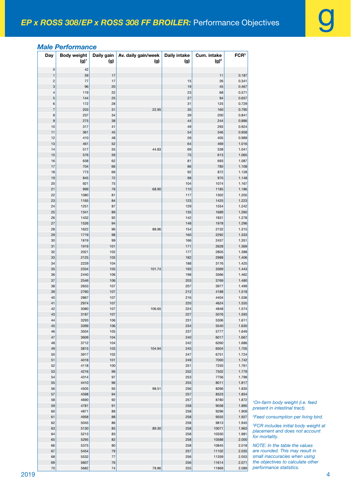### *Male Performance*

| Day                          | <b>Body weight</b><br>$(g)^1$ | Daily gain<br>(g) | Av. daily gain/week<br>(g) | Daily intake<br>(g) | Cum. intake<br>$(g)^2$ | FCR <sup>3</sup> |
|------------------------------|-------------------------------|-------------------|----------------------------|---------------------|------------------------|------------------|
| 0                            | 42                            |                   |                            |                     |                        |                  |
| $\mathbf{1}$                 | 59                            | 17                |                            |                     | 11                     | 0.187            |
| $\overline{\mathbf{c}}$<br>3 | 77<br>96                      | 17<br>20          |                            | 15<br>19            | 26<br>45               | 0.341<br>0.467   |
| $\overline{\mathcal{L}}$     | 119                           | 22                |                            | 23                  | 68                     | 0.571            |
| 5                            | 144                           | 25                |                            | 27                  | 94                     | 0.657            |
| 6                            | 172                           | 28                |                            | 31                  | 125                    | 0.729            |
| $\overline{7}$               | 203                           | 31                | 22.95                      | 35                  | 160                    | 0.790            |
| 8                            | 237                           | 34                |                            | 39                  | 200                    | 0.841            |
| 9<br>10                      | 275                           | 38                |                            | 44<br>49            | 244<br>293             | 0.886<br>0.924   |
| 11                           | 317<br>361                    | 41<br>45          |                            | 54                  | 346                    | 0.958            |
| 12                           | 410                           | 48                |                            | 59                  | 405                    | 0.989            |
| 13                           | 461                           | 52                |                            | 64                  | 469                    | 1.016            |
| 14                           | 517                           | 55                | 44.83                      | 69                  | 538                    | 1.041            |
| 15                           | 576                           | 59                |                            | 75                  | 613                    | 1.065            |
| 16                           | 638                           | 62                |                            | 81                  | 693                    | 1.087            |
| 17<br>18                     | 704<br>773                    | 66<br>69          |                            | 86<br>92            | 780<br>872             | 1.108<br>1.128   |
| 19                           | 845                           | 72                |                            | 98                  | 970                    | 1.148            |
| 20                           | 921                           | 75                |                            | 104                 | 1074                   | 1.167            |
| 21                           | 999                           | 78                | 68.90                      | 110                 | 1185                   | 1.186            |
| 22                           | 1080                          | 81                |                            | 117                 | 1302                   | 1.205            |
| 23                           | 1165                          | 84                |                            | 123                 | 1425                   | 1.223            |
| 24                           | 1251                          | 87                |                            | 129                 | 1554                   | 1.242            |
| 25                           | 1341                          | 89                |                            | 135                 | 1689                   | 1.260            |
| 26<br>27                     | 1432<br>1526                  | 92<br>94          |                            | 142<br>148          | 1831<br>1978           | 1.278<br>1.296   |
| 28                           | 1622                          | 96                | 88.96                      | 154                 | 2132                   | 1.315            |
| 29                           | 1719                          | 98                |                            | 160                 | 2292                   | 1.333            |
| 30                           | 1819                          | 99                |                            | 166                 | 2457                   | 1.351            |
| 31                           | 1919                          | 101               |                            | 171                 | 2628                   | 1.369            |
| 32                           | 2021                          | 102               |                            | 177                 | 2805                   | 1.388            |
| 33                           | 2125                          | 103               |                            | 182                 | 2988                   | 1.406            |
| 34<br>35                     | 2229<br>2334                  | 104<br>105        | 101.74                     | 188<br>193          | 3176<br>3369           | 1.425<br>1.443   |
| 36                           | 2440                          | 106               |                            | 198                 | 3566                   | 1.462            |
| 37                           | 2546                          | 106               |                            | 203                 | 3769                   | 1.480            |
| 38                           | 2653                          | 107               |                            | 207                 | 3977                   | 1.499            |
| 39                           | 2760                          | 107               |                            | 212                 | 4188                   | 1.518            |
| 40                           | 2867                          | 107               |                            | 216                 | 4404                   | 1.536            |
| 41<br>42                     | 2974<br>3080                  | 107<br>107        | 106.65                     | 220<br>224          | 4624<br>4848           | 1.555<br>1.574   |
| 43                           | 3187                          | 107               |                            | 227                 | 5076                   | 1.593            |
| 44                           | 3293                          | 106               |                            | 231                 | 5306                   | 1.611            |
| 45                           | 3399                          | 106               |                            | 234                 | 5540                   | 1.630            |
| 46                           | 3504                          | 105               |                            | 237                 | 5777                   | 1.649            |
| 47                           | 3609                          | 104               |                            | 240                 | 6017                   | 1.667            |
| 48                           | 3712                          | 104               |                            | 242                 | 6260                   | 1.686            |
| 49<br>50                     | 3815<br>3917                  | 103<br>102        | 104.94                     | 245<br>247          | 6504<br>6751           | 1.705<br>1.724   |
| 51                           | 4018                          | 101               |                            | 249                 | 7000                   | 1.742            |
| 52                           | 4118                          | 100               |                            | 251                 | 7250                   | 1.761            |
| 53                           | 4216                          | 99                |                            | 252                 | 7502                   | 1.779            |
| 54                           | 4314                          | 97                |                            | 253                 | 7756                   | 1.798            |
| 55                           | 4410                          | 96                |                            | 255                 | 8011                   | 1.817            |
| 56<br>57                     | 4505<br>4598                  | 95<br>94          | 98.51                      | 256<br>257          | 8266<br>8523           | 1.835<br>1.854   |
| 58                           | 4690                          | 92                |                            | 257                 | 8780                   | 1.872            |
| 59                           | 4781                          | 91                |                            | 258                 | 9038                   | 1.890            |
| 60                           | 4871                          | 89                |                            | 258                 | 9296                   | 1.909            |
| 61                           | 4958                          | 88                |                            | 258                 | 9555                   | 1.927            |
| 62                           | 5045                          | 86                |                            | 258                 | 9813                   | 1.945            |
| 63                           | 5130                          | 85                | 89.30                      | 258                 | 10071                  | 1.963            |
| 64<br>65                     | 5213<br>5295                  | 83<br>82          |                            | 258<br>258          | 10330<br>10588         | 1.981<br>2.000   |
| 66                           | 5375                          | 80                |                            | 258                 | 10845                  | 2.018            |
| 67                           | 5454                          | 79                |                            | 257                 | 11102                  | 2.035            |
| 68                           | 5532                          | $77 \,$           |                            | 256                 | 11359                  | 2.053            |
| 69                           | 5607                          | 76                |                            | 256                 | 11614                  | 2.071            |
| 70                           | 5682                          | 74                | 78.86                      | 255                 | 11869                  | 2.089            |

 *On-farm body weight (i.e. feed present in intestinal tract).*

*Feed consumption per living bird.*

 *FCR includes initial body weight at placement and does not account for mortality.*

*NOTE: In the table the values are rounded. This may result in small inaccuracies when using the objectives to calculate other performance statistics.*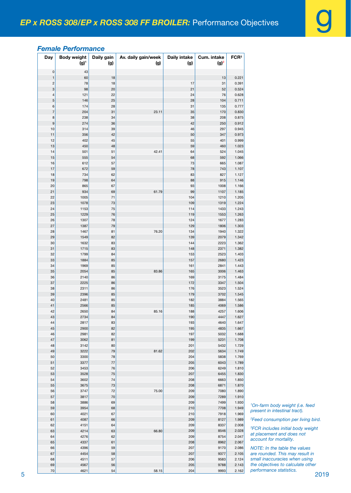# *Female Performance*

|   | Day                                                  | <b>Body weight</b><br>$(g)^1$ | Daily gain<br>(g) | Av. daily gain/week<br>(g) | Daily intake<br>(g) | Cum. intake<br>$(g)^2$ | FCR <sup>3</sup> |                                                                              |
|---|------------------------------------------------------|-------------------------------|-------------------|----------------------------|---------------------|------------------------|------------------|------------------------------------------------------------------------------|
|   | 0                                                    | 43                            |                   |                            |                     |                        |                  |                                                                              |
|   | $\overline{1}$                                       | 60                            | $18$              |                            |                     | 13                     | 0.221            |                                                                              |
|   | $\overline{\mathbf{c}}$<br>$\ensuremath{\mathsf{3}}$ | 78<br>98                      | 18<br>20          |                            | $17$<br>21          | 31<br>52               | 0.391<br>0.524   |                                                                              |
|   | $\overline{4}$                                       | 121                           | 22                |                            | 24                  | 76                     | 0.628            |                                                                              |
|   | $\sqrt{5}$                                           | 146                           | 25                |                            | 28                  | 104                    | 0.711            |                                                                              |
|   | 6                                                    | 174                           | 28                |                            | 31                  | 135                    | 0.777            |                                                                              |
|   | $\overline{7}$                                       | 204                           | 31                | 23.11                      | 35                  | 170                    | 0.830            |                                                                              |
|   | 8<br>9                                               | 238<br>274                    | 34<br>36          |                            | 38<br>42            | 208<br>250             | 0.875<br>0.912   |                                                                              |
|   | 10                                                   | 314                           | 39                |                            | ${\bf 46}$          | 297                    | 0.945            |                                                                              |
|   | 11                                                   | 356                           | $42\,$            |                            | 50                  | 347                    | 0.973            |                                                                              |
|   | 12                                                   | 402                           | 45                |                            | 55                  | 401                    | 0.999            |                                                                              |
|   | 13                                                   | 450                           | 48                |                            | 59                  | 460                    | 1.023            |                                                                              |
|   | 14                                                   | 501                           | 51                | 42.41                      | 64                  | 524                    | 1.045            |                                                                              |
|   | 15<br>16                                             | 555<br>612                    | 54<br>57          |                            | 68<br>$73\,$        | 592<br>665             | 1.066<br>1.087   |                                                                              |
|   | 17                                                   | 672                           | 59                |                            | ${\bf 78}$          | 743                    | 1.107            |                                                                              |
|   | 18                                                   | 734                           | 62                |                            | 83                  | 827                    | 1.127            |                                                                              |
|   | 19                                                   | 798                           | 64                |                            | 88                  | 915                    | 1.146            |                                                                              |
|   | 20                                                   | 865                           | 67                |                            | 93                  | 1008                   | 1.166            |                                                                              |
|   | 21                                                   | 934                           | 69                | 61.79                      | 99                  | 1107                   | 1.185            |                                                                              |
|   | 22<br>23                                             | 1005<br>1078                  | 71<br>$73\,$      |                            | 104<br>109          | 1210<br>1319           | 1.205<br>1.224   |                                                                              |
|   | 24                                                   | 1153                          | $75\,$            |                            | 114                 | 1433                   | 1.243            |                                                                              |
|   | 25                                                   | 1229                          | 76                |                            | 119                 | 1553                   | 1.263            |                                                                              |
|   | 26                                                   | 1307                          | 78                |                            | 124                 | 1677                   | 1.283            |                                                                              |
|   | 27                                                   | 1387                          | $\bf 79$          |                            | 129                 | 1806                   | 1.303            |                                                                              |
|   | 28                                                   | 1467                          | 81                | 76.20                      | 134                 | 1940                   | 1.322            |                                                                              |
|   | 29<br>30                                             | 1549<br>1632                  | 82<br>83          |                            | 139<br>144          | 2079<br>2223           | 1.342<br>1.362   |                                                                              |
|   | 31                                                   | 1715                          | 83                |                            | 148                 | 2371                   | 1.382            |                                                                              |
|   | 32                                                   | 1799                          | 84                |                            | 153                 | 2523                   | 1.403            |                                                                              |
|   | 33                                                   | 1884                          | 85                |                            | 157                 | 2680                   | 1.423            |                                                                              |
|   | 34                                                   | 1969                          | 85                |                            | 161                 | 2841                   | 1.443            |                                                                              |
|   | 35<br>36                                             | 2054<br>2140                  | 85<br>86          | 83.86                      | 165<br>169          | 3006<br>3175           | 1.463<br>1.484   |                                                                              |
|   | 37                                                   | 2225                          | 86                |                            | 172                 | 3347                   | 1.504            |                                                                              |
|   | 38                                                   | 2311                          | 86                |                            | 176                 | 3523                   | 1.524            |                                                                              |
|   | 39                                                   | 2396                          | 85                |                            | 179                 | 3702                   | 1.545            |                                                                              |
|   | 40                                                   | 2481                          | 85                |                            | 182                 | 3884                   | 1.565            |                                                                              |
|   | 41                                                   | 2566                          | 85                |                            | 185                 | 4069                   | 1.586            |                                                                              |
|   | 42<br>43                                             | 2650<br>2734                  | 84<br>84          | 85.16                      | 188<br>190          | 4257<br>4447           | 1.606<br>1.627   |                                                                              |
|   | 44                                                   | 2817                          | 83                |                            | 193                 | 4640                   | 1.647            |                                                                              |
|   | 45                                                   | 2900                          | 82                |                            | 195                 | 4835                   | 1.667            |                                                                              |
|   | 46                                                   | 2981                          | 82                |                            | 197                 | 5032                   | 1.688            |                                                                              |
|   | 47                                                   | 3062                          | 81                |                            | 199                 | 5231                   | 1.708            |                                                                              |
|   | 48                                                   | 3142                          | 80                |                            | 201                 | 5432                   | 1.729            |                                                                              |
|   | 49<br>50                                             | 3222<br>3300                  | $79\,$<br>78      | 81.62                      | 202<br>204          | 5634<br>5838           | 1.749<br>1.769   |                                                                              |
|   | 51                                                   | 3377                          | $77 \,$           |                            | 205                 | 6043                   | 1.789            |                                                                              |
|   | 52                                                   | 3453                          | ${\bf 76}$        |                            | 206                 | 6249                   | 1.810            |                                                                              |
|   | 53                                                   | 3528                          | 75                |                            | 207                 | 6455                   | 1.830            |                                                                              |
|   | 54                                                   | 3602                          | 74                |                            | 208                 | 6663                   | 1.850            |                                                                              |
|   | 55                                                   | 3675                          | $73\,$            | 75.00                      | 208                 | 6871                   | 1.870            |                                                                              |
|   | 56<br>57                                             | 3747<br>3817                  | 72<br>$70\,$      |                            | 209<br>209          | 7080<br>7289           | 1.890<br>1.910   |                                                                              |
|   | 58                                                   | 3886                          | 69                |                            | 209                 | 7499                   | 1.930            |                                                                              |
|   | 59                                                   | 3954                          | 68                |                            | 210                 | 7708                   | 1.949            | <sup>1</sup> On-farm body weight (i.e. feed<br>present in intestinal tract). |
|   | 60                                                   | 4021                          | 67                |                            | 210                 | 7918                   | 1.969            |                                                                              |
|   | 61                                                   | 4087                          | 66                |                            | 209                 | 8127                   | 1.989            | <sup>2</sup> Feed consumption per living bird.                               |
|   | 62                                                   | 4151                          | 64                |                            | 209<br>209          | 8337<br>8546           | 2.008<br>2.028   | <sup>3</sup> FCR includes initial body weight                                |
|   | 63<br>64                                             | 4214<br>4276                  | 63<br>62          | 66.80                      | 209                 | 8754                   | 2.047            | at placement and does not                                                    |
|   | 65                                                   | 4337                          | 61                |                            | 208                 | 8962                   | 2.067            | account for mortality.                                                       |
|   | 66                                                   | 4396                          | 59                |                            | 207                 | 9170                   | 2.086            | NOTE: In the table the values                                                |
|   | 67                                                   | 4454                          | 58                |                            | 207                 | 9377                   | 2.105            | are rounded. This may result in                                              |
|   | 68                                                   | 4511                          | 57                |                            | 206                 | 9583                   | 2.124            | small inaccuracies when using                                                |
|   | 69<br>70                                             | 4567<br>4621                  | 56<br>54          | 58.15                      | 205<br>204          | 9788<br>9993           | 2.143<br>2.162   | the objectives to calculate other<br>performance statistics.                 |
| 5 |                                                      |                               |                   |                            |                     |                        |                  | 2019                                                                         |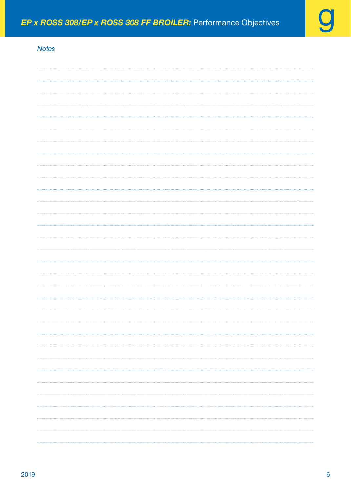# *Notes*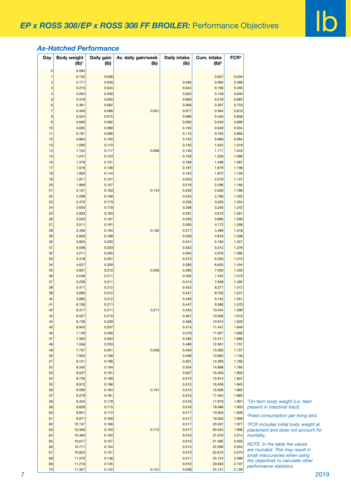### *As-Hatched Performance*

| Day            | <b>Body weight</b><br>$(Ib)^1$ | Daily gain<br>(Ib) | Av. daily gain/week<br>(Ib) | <b>Daily intake</b><br>(lb) | Cum. intake<br>$(Ib)^2$ | FCR <sup>3</sup> |                                                  |
|----------------|--------------------------------|--------------------|-----------------------------|-----------------------------|-------------------------|------------------|--------------------------------------------------|
| $\pmb{0}$      | 0.094                          |                    |                             |                             |                         |                  |                                                  |
| $\overline{1}$ | 0.132                          | 0.038              |                             |                             | 0.027                   | 0.204            |                                                  |
| $\overline{c}$ | 0.171                          | 0.039              |                             | 0.036                       | 0.062                   | 0.366            |                                                  |
| 3              | 0.215                          | 0.044              |                             | 0.044                       | 0.106                   | 0.495            |                                                  |
| 4              | 0.264                          | 0.049              |                             | 0.052                       | 0.158                   | 0.600            |                                                  |
| 5              | 0.319                          | 0.055              |                             | 0.060                       | 0.218                   | 0.684            |                                                  |
| 6              | 0.381                          | 0.062              |                             | 0.068                       | 0.287                   | 0.753            |                                                  |
| $\overline{7}$ | 0.449                          | 0.068              | 0.051                       | 0.077                       | 0.364                   | 0.810            |                                                  |
| 8              | 0.524                          | 0.075              |                             | 0.086                       | 0.450                   | 0.858            |                                                  |
| 9              | 0.606                          | 0.082              |                             | 0.095                       | 0.545                   | 0.899            |                                                  |
| 10             | 0.695                          | 0.089              |                             | 0.105                       | 0.649                   | 0.934            |                                                  |
| 11             | 0.791                          | 0.096              |                             | 0.115                       | 0.764                   | 0.966            |                                                  |
| 12             | 0.894                          | 0.103              |                             | 0.125                       | 0.889                   | 0.994            |                                                  |
| 13             | 1.005                          | 0.110              |                             | 0.135                       | 1.024                   | 1.019            |                                                  |
| 14             | 1.122                          |                    | 0.096                       | 0.146                       | 1.171                   | 1.043            |                                                  |
|                |                                | 0.117              |                             |                             |                         |                  |                                                  |
| 15             | 1.247                          | 0.124              |                             | 0.158                       | 1.328                   | 1.066            |                                                  |
| 16             | 1.378                          | 0.131              |                             | 0.169                       | 1.498                   | 1.087            |                                                  |
| 17             | 1.516                          | 0.138              |                             | 0.181                       | 1.679                   | 1.108            |                                                  |
| 18             | 1.660                          | 0.144              |                             | 0.193                       | 1.872                   | 1.128            |                                                  |
| 19             | 1.811                          | 0.151              |                             | 0.205                       | 2.078                   | 1.147            |                                                  |
| 20             | 1.968                          | 0.157              |                             | 0.218                       | 2.296                   | 1.166            |                                                  |
| 21             | 2.131                          | 0.163              | 0.144                       | 0.230                       | 2.526                   | 1.186            |                                                  |
| 22             | 2.299                          | 0.168              |                             | 0.243                       | 2.769                   | 1.205            |                                                  |
| 23             | 2.472                          | 0.173              |                             | 0.256                       | 3.025                   | 1.224            |                                                  |
| 24             | 2.650                          | 0.178              |                             | 0.268                       | 3.293                   | 1.242            |                                                  |
| 25             | 2.833                          | 0.183              |                             | 0.281                       | 3.573                   | 1.261            |                                                  |
| 26             | 3.020                          | 0.187              |                             | 0.293                       | 3.866                   | 1.280            |                                                  |
| 27             | 3.211                          | 0.191              |                             | 0.305                       | 4.172                   | 1.299            |                                                  |
| 28             | 3.405                          | 0.194              | 0.182                       | 0.317                       | 4.489                   | 1.318            |                                                  |
| 29             | 3.603                          | 0.198              |                             | 0.329                       | 4.819                   | 1.338            |                                                  |
| 30             | 3.803                          | 0.200              |                             | 0.341                       | 5.160                   | 1.357            |                                                  |
| 31             | 4.006                          | 0.203              |                             | 0.352                       | 5.512                   | 1.376            |                                                  |
| 32             | 4.211                          | 0.205              |                             | 0.364                       | 5.876                   | 1.395            |                                                  |
| 33             | 4.418                          | 0.207              |                             | 0.374                       | 6.250                   | 1.415            |                                                  |
| 34             | 4.627                          | 0.209              |                             | 0.385                       | 6.635                   | 1.434            |                                                  |
| $35\,$         | 4.837                          | 0.210              | 0.205                       | 0.395                       | 7.030                   | 1.453            |                                                  |
| 36             | 5.048                          | 0.211              |                             | 0.405                       | 7.434                   | 1.473            |                                                  |
| 37             | 5.259                          | 0.211              |                             | 0.414                       | 7.848                   | 1.492            |                                                  |
| 38             | 5.471                          | 0.212              |                             | 0.423                       | 8.271                   | 1.512            |                                                  |
|                | 5.683                          | 0.212              |                             | 0.431                       | 8.703                   | 1.531            |                                                  |
| 39             |                                |                    |                             |                             |                         |                  |                                                  |
| 40             | 5.895                          | 0.212              |                             | 0.440                       | 9.142                   | 1.551            |                                                  |
| 41             | 6.106                          | 0.211              |                             | 0.447                       | 9.590                   | 1.570            |                                                  |
| 42             | 6.317                          | 0.211              | 0.211                       | 0.455                       | 10.044                  | 1.590            |                                                  |
| 43             | 6.527                          | 0.210              |                             | 0.461                       | 10.506                  | 1.610            |                                                  |
| 44             | 6.736                          | 0.209              |                             | 0.468                       | 10.974                  | 1.629            |                                                  |
| 45             | 6.943                          | 0.207              |                             | 0.474                       | 11.447                  | 1.649            |                                                  |
| 46             | 7.149                          | 0.206              |                             | 0.479                       | 11.927                  | 1.668            |                                                  |
| 47             | 7.353                          | 0.204              |                             | 0.485                       | 12.411                  | 1.688            |                                                  |
| 48             | 7.556                          | 0.203              |                             | 0.489                       | 12.901                  | 1.707            |                                                  |
| 49             | 7.757                          | 0.201              | 0.206                       | 0.494                       | 13.395                  | 1.727            |                                                  |
| 50             | 7.955                          | 0.198              |                             | 0.498                       | 13.892                  | 1.746            |                                                  |
| 51             | 8.151                          | 0.196              |                             | 0.501                       | 14.393                  | 1.766            |                                                  |
| 52             | 8.345                          | 0.194              |                             | 0.504                       | 14.898                  | 1.785            |                                                  |
| 53             | 8.537                          | 0.191              |                             | 0.507                       | 15.405                  | 1.805            |                                                  |
| 54             | 8.726                          | 0.189              |                             | 0.510                       | 15.914                  | 1.824            |                                                  |
| 55             | 8.912                          | 0.186              |                             | 0.512                       | 16.426                  | 1.843            |                                                  |
| 56             | 9.095                          | 0.184              | 0.191                       | 0.513                       | 16.939                  | 1.862            |                                                  |
| 57             | 9.276                          | 0.181              |                             | 0.515                       | 17.454                  | 1.882            |                                                  |
| 58             | 9.454                          | 0.178              |                             | 0.516                       | 17.970                  | 1.901            | <sup>1</sup> On-farm body weight (i.e. feed      |
| 59             | 9.629                          | 0.175              |                             | 0.516                       | 18.486                  | 1.920            | present in intestinal tract).                    |
|                | 9.801                          | 0.172              |                             |                             | 19.003                  | 1.939            |                                                  |
| 60             |                                |                    |                             | 0.517                       |                         |                  | <sup>2</sup> Feed consumption per living bird.   |
| 61             | 9.971                          | 0.169              |                             | 0.517                       | 19.520                  | 1.958            |                                                  |
| 62             | 10.137                         | 0.166              |                             | 0.517                       | 20.037                  | 1.977            | <sup>3</sup> FCR includes initial body weight at |
| 63             | 10.300                         | 0.163              | 0.172                       | 0.517                       | 20.554                  | 1.996            | placement and does not account for               |
| 64             | 10.460                         | 0.160              |                             | 0.516                       | 21.070                  | 2.014            | mortality.                                       |
| 65             | 10.617                         | 0.157              |                             | 0.515                       | 21.585                  | 2.033            | NOTE: In the table the values                    |
| 66             | 10.771                         | 0.154              |                             | 0.514                       | 22.099                  | 2.052            | are rounded. This may result in                  |
| 67             | 10.922                         | 0.151              |                             | 0.513                       | 22.612                  | 2.070            | small inaccuracies when using                    |
| 68             | 11.070                         | 0.148              |                             | 0.511                       | 23.124                  | 2.089            | the objectives to calculate other                |
|                | 11.215                         | 0.145              |                             | 0.510                       | 23.633                  | 2.107            | performance statistics.                          |
| 69             |                                |                    |                             |                             |                         |                  |                                                  |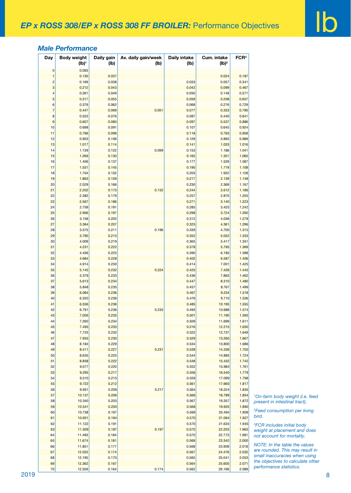#### *Male Performance*

| Day            | <b>Body weight</b><br>$(Ib)^1$ | Daily gain<br>(I <sub>b</sub> ) | Av. daily gain/week<br>(lb) | <b>Daily intake</b><br>(lb) | Cum. intake<br>$(Ib)^2$ | FCR <sup>3</sup> |                                             |
|----------------|--------------------------------|---------------------------------|-----------------------------|-----------------------------|-------------------------|------------------|---------------------------------------------|
| $\mathbf 0$    | 0.093                          |                                 |                             |                             |                         |                  |                                             |
| $\overline{1}$ | 0.130                          | 0.037                           |                             |                             | 0.024                   | 0.187            |                                             |
| $\overline{c}$ | 0.169                          | 0.038                           |                             | 0.033                       | 0.057                   | 0.341            |                                             |
| 3              | 0.212                          | 0.043                           |                             | 0.042                       | 0.099                   | 0.467            |                                             |
| $\overline{4}$ | 0.261                          | 0.049                           |                             | 0.050                       | 0.149                   | 0.571            |                                             |
| $\overline{5}$ | 0.317                          | 0.055                           |                             | 0.059                       | 0.208                   | 0.657            |                                             |
| 6              | 0.379                          | 0.062                           |                             | 0.068                       | 0.276                   | 0.729            |                                             |
| $\overline{7}$ | 0.447                          | 0.069                           | 0.051                       | 0.077                       | 0.353                   | 0.790            |                                             |
| 8              | 0.523                          | 0.076                           |                             | 0.087                       | 0.440                   | 0.841            |                                             |
| $\overline{9}$ | 0.607                          | 0.083                           |                             | 0.097                       | 0.537                   | 0.886            |                                             |
| 10             | 0.698                          | 0.091                           |                             | 0.107                       | 0.645                   | 0.924            |                                             |
| 11             | 0.796                          | 0.099                           |                             | 0.118                       | 0.763                   | 0.958            |                                             |
| 12             | 0.903                          | 0.106                           |                             | 0.129                       | 0.893                   | 0.989            |                                             |
| 13             | 1.017                          | 0.114                           |                             | 0.141                       | 1.033                   | 1.016            |                                             |
| 14             | 1.139                          | 0.122                           | 0.099                       | 0.153                       | 1.186                   | 1.041            |                                             |
| 15             | 1.269                          | 0.130                           |                             | 0.165                       | 1.351                   | 1.065            |                                             |
| 16             | 1.406                          | 0.137                           |                             | 0.177                       | 1.529                   | 1.087            |                                             |
| 17             | 1.551                          | 0.145                           |                             | 0.190                       | 1.719                   | 1.108            |                                             |
| 18             | 1.704                          | 0.152                           |                             | 0.203                       | 1.922                   | 1.128            |                                             |
| 19             | 1.863                          | 0.159                           |                             | 0.217                       | 2.139                   | 1.148            |                                             |
| 20             | 2.029                          | 0.166                           |                             | 0.230                       | 2.369                   | 1.167            |                                             |
| 21             | 2.202                          | 0.173                           | 0.152                       | 0.244                       | 2.612                   | 1.186            |                                             |
| 22             | 2.382                          | 0.179                           |                             | 0.257                       | 2.870                   | 1.205            |                                             |
| 23             | 2.567                          | 0.186                           |                             | 0.271                       | 3.140                   | 1.223            |                                             |
| 24             | 2.759                          | 0.191                           |                             | 0.285                       | 3.425                   | 1.242            |                                             |
| 25             | 2.956                          | 0.197                           |                             | 0.298                       | 3.724                   | 1.260            |                                             |
| 26             | 3.158                          | 0.202                           |                             | 0.312                       | 4.036                   | 1.278            |                                             |
| 27             | 3.364                          | 0.207                           |                             | 0.325                       | 4.361                   | 1.296            |                                             |
| 28             | 3.575                          | 0.211                           | 0.196                       | 0.339                       | 4.700                   | 1.315            |                                             |
| 29             | 3.790                          | 0.215                           |                             | 0.352                       | 5.052                   | 1.333            |                                             |
| 30             | 4.009                          | 0.219                           |                             | 0.365                       | 5.417                   | 1.351            |                                             |
| 31             | 4.231                          | 0.222                           |                             | 0.378                       | 5.795                   | 1.369            |                                             |
| 32             | 4.456                          | 0.225                           |                             | 0.390                       | 6.185                   | 1.388            |                                             |
| 33             | 4.684                          | 0.228                           |                             | 0.402                       | 6.587                   | 1.406            |                                             |
| 34             | 4.914                          | 0.230                           |                             | 0.414                       | 7.001                   | 1.425            |                                             |
| 35             | 5.145                          | 0.232                           | 0.224                       | 0.425                       | 7.426                   | 1.443            |                                             |
| 36             | 5.379                          | 0.233                           |                             | 0.436                       | 7.863                   | 1.462            |                                             |
| 37             | 5.613                          | 0.234                           |                             | 0.447                       | 8.310                   | 1.480            |                                             |
|                | 5.848                          | 0.235                           |                             | 0.457                       | 8.767                   | 1.499            |                                             |
| 38<br>39       | 6.084                          | 0.236                           |                             | 0.467                       | 9.234                   | 1.518            |                                             |
|                |                                | 0.236                           |                             | 0.476                       | 9.710                   |                  |                                             |
| 40<br>41       | 6.320<br>6.556                 | 0.236                           |                             | 0.485                       | 10.195                  | 1.536<br>1.555   |                                             |
| 42             | 6.791                          | 0.236                           | 0.235                       | 0.493                       | 10.688                  | 1.574            |                                             |
| 43             |                                | 0.235                           |                             | 0.501                       | 11.190                  | 1.593            |                                             |
|                | 7.026                          |                                 |                             |                             |                         |                  |                                             |
| 44             | 7.260                          | 0.234                           |                             | 0.509                       | 11.699                  | 1.611            |                                             |
| 45             | 7.493                          | 0.233                           |                             | 0.516                       | 12.215                  | 1.630            |                                             |
| 46             | 7.725                          | 0.232                           |                             | 0.522                       | 12.737                  | 1.649            |                                             |
| 47             | 7.955                          | 0.230                           |                             | 0.529                       | 13.265                  | 1.667            |                                             |
| 48             | 8.184                          | 0.229                           |                             | 0.534                       | 13.800                  | 1.686            |                                             |
| 49             | 8.411                          | 0.227                           | 0.231                       | 0.539                       | 14.339                  | 1.705            |                                             |
| 50             | 8.635                          | 0.225                           |                             | 0.544                       | 14.883                  | 1.724            |                                             |
| 51             | 8.858                          | 0.222                           |                             | 0.548                       | 15.432                  | 1.742            |                                             |
| 52             | 9.077                          | 0.220                           |                             | 0.552                       | 15.984                  | 1.761            |                                             |
| 53             | 9.295                          | 0.217                           |                             | 0.556                       | 16.540                  | 1.779            |                                             |
| 54             | 9.510                          | 0.215                           |                             | 0.559                       | 17.099                  | 1.798            |                                             |
| 55             | 9.722                          | 0.212                           |                             | 0.561                       | 17.660                  | 1.817            |                                             |
| 56             | 9.931                          | 0.209                           | 0.217                       | 0.564                       | 18.224                  | 1.835            |                                             |
| 57             | 10.137                         | 0.206                           |                             | 0.566                       | 18.789                  | 1.854            | <sup>1</sup> On-farm body weight (i.e. feed |
| 58             | 10.340                         | 0.203                           |                             | 0.567                       | 19.357                  | 1.872            | present in intestinal tract).               |
| 59             | 10.541                         | 0.200                           |                             | 0.568                       | 19.925                  | 1.890            |                                             |
| 60             | 10.738                         | 0.197                           |                             | 0.569                       | 20.494                  | 1.909            | <sup>2</sup> Feed consumption per living    |
| 61             | 10.931                         | 0.194                           |                             | 0.570                       | 21.064                  | 1.927            | bird.                                       |
| 62             | 11.122                         | 0.191                           |                             | 0.570                       | 21.634                  | 1.945            | <sup>3</sup> FCR includes initial body      |
| 63             | 11.309                         | 0.187                           | 0.197                       | 0.570                       | 22.203                  | 1.963            | weight at placement and does                |
| 64             | 11.493                         | 0.184                           |                             | 0.570                       | 22.773                  | 1.981            | not account for mortality.                  |
| 65             | 11.674                         | 0.181                           |                             | 0.569                       | 23.342                  | 2.000            |                                             |
| 66             | 11.851                         | 0.177                           |                             | 0.568                       | 23.909                  | 2.018            | NOTE: In the table the values               |
| 67             | 12.025                         | 0.174                           |                             | 0.567                       | 24.476                  | 2.035            | are rounded. This may result in             |
| 68             | 12.195                         | 0.170                           |                             | 0.565                       | 25.041                  | 2.053            | small inaccuracies when using               |
|                |                                | 0.167                           |                             | 0.564                       | 25.605                  | 2.071            | the objectives to calculate other           |
| 69             | 12.362                         |                                 |                             |                             |                         |                  | performance statistics.                     |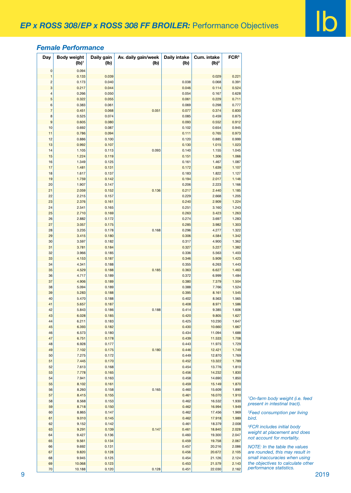## *Female Performance*

| Day                          | <b>Body weight</b> | Daily gain     | Av. daily gain/week | <b>Daily intake</b> | Cum. intake       | FCR <sup>3</sup> |
|------------------------------|--------------------|----------------|---------------------|---------------------|-------------------|------------------|
|                              | $(Ib)^1$           | (Ib)           | (lb)                | (Ib)                | (Ib) <sup>2</sup> |                  |
| 0                            | 0.094              |                |                     |                     |                   |                  |
| 1                            | 0.133              | 0.039          |                     |                     | 0.029             | 0.221            |
| $\overline{\mathbf{c}}$<br>3 | 0.173<br>0.217     | 0.040<br>0.044 |                     | 0.038<br>0.046      | 0.068<br>0.114    | 0.391<br>0.524   |
| 4                            | 0.266              | 0.050          |                     | 0.054               | 0.167             | 0.628            |
| 5                            | 0.322              | 0.055          |                     | 0.061               | 0.229             | 0.711            |
| 6                            | 0.383              | 0.061          |                     | 0.069               | 0.298             | 0.777            |
| $\overline{7}$               | 0.451              | 0.068          | 0.051               | 0.077               | 0.374             | 0.830            |
| 8                            | 0.525              | 0.074          |                     | 0.085               | 0.459             | 0.875            |
| 9                            | 0.605              | 0.080          |                     | 0.093               | 0.552             | 0.912            |
| 10                           | 0.692              | 0.087          |                     | 0.102               | 0.654             | 0.945            |
| 11                           | 0.786              | 0.094          |                     | 0.111               | 0.765             | 0.973            |
| 12                           | 0.886              | 0.100          |                     | 0.120               | 0.885             | 0.999            |
| 13                           | 0.992              | 0.107          |                     | 0.130               | 1.015             | 1.023            |
| 14                           | 1.105              | 0.113          | 0.093               | 0.140               | 1.155             | 1.045            |
| 15                           | 1.224              | 0.119          |                     | 0.151               | 1.306             | 1.066            |
| 16<br>17                     | 1.349<br>1.481     | 0.125<br>0.131 |                     | 0.161<br>0.172      | 1.467<br>1.639    | 1.087<br>1.107   |
| 18                           | 1.617              | 0.137          |                     | 0.183               | 1.822             | 1.127            |
| 19                           | 1.759              | 0.142          |                     | 0.194               | 2.017             | 1.146            |
| 20                           | 1.907              | 0.147          |                     | 0.206               | 2.223             | 1.166            |
| 21                           | 2.059              | 0.152          | 0.136               | 0.217               | 2.440             | 1.185            |
| 22                           | 2.215              | 0.157          |                     | 0.229               | 2.668             | 1.205            |
| 23                           | 2.376              | 0.161          |                     | 0.240               | 2.909             | 1.224            |
| 24                           | 2.541              | 0.165          |                     | 0.251               | 3.160             | 1.243            |
| 25                           | 2.710              | 0.169          |                     | 0.263               | 3.423             | 1.263            |
| 26                           | 2.882              | 0.172          |                     | 0.274               | 3.697             | 1.283            |
| 27                           | 3.057              | 0.175          |                     | 0.285               | 3.982             | 1.303            |
| 28                           | 3.235              | 0.178          | 0.168               | 0.296               | 4.277             | 1.322            |
| 29                           | 3.415              | 0.180          |                     | 0.306               | 4.584             | 1.342            |
| 30<br>31                     | 3.597<br>3.781     | 0.182<br>0.184 |                     | 0.317<br>0.327      | 4.900<br>5.227    | 1.362<br>1.382   |
| 32                           | 3.966              | 0.185          |                     | 0.336               | 5.563             | 1.403            |
| 33                           | 4.153              | 0.187          |                     | 0.346               | 5.909             | 1.423            |
| 34                           | 4.341              | 0.188          |                     | 0.355               | 6.263             | 1.443            |
| 35                           | 4.529              | 0.188          | 0.185               | 0.363               | 6.627             | 1.463            |
| 36                           | 4.717              | 0.189          |                     | 0.372               | 6.999             | 1.484            |
| 37                           | 4.906              | 0.189          |                     | 0.380               | 7.379             | 1.504            |
| 38                           | 5.094              | 0.189          |                     | 0.388               | 7.766             | 1.524            |
| 39                           | 5.283              | 0.188          |                     | 0.395               | 8.161             | 1.545            |
| 40                           | 5.470              | 0.188          |                     | 0.402               | 8.563             | 1.565            |
| 41                           | 5.657              | 0.187          |                     | 0.408               | 8.971             | 1.586            |
| 42                           | 5.843              | 0.186          | 0.188               | 0.414               | 9.385             | 1.606            |
| 43                           | 6.028              | 0.185          |                     | 0.420               | 9.805             | 1.627            |
| 44<br>45                     | 6.211<br>6.393     | 0.183<br>0.182 |                     | 0.425<br>0.430      | 10.230<br>10.660  | 1.647<br>1.667   |
| 46                           | 6.573              | 0.180          |                     | 0.434               | 11.094            | 1.688            |
| 47                           | 6.751              | 0.178          |                     | 0.439               | 11.533            | 1.708            |
| 48                           | 6.928              | 0.177          |                     | 0.443               | 11.975            | 1.729            |
| 49                           | 7.102              | 0.175          | 0.180               | 0.446               | 12.421            | 1.749            |
| 50                           | 7.275              | 0.172          |                     | 0.449               | 12.870            | 1.769            |
| 51                           | 7.445              | 0.170          |                     | 0.452               | 13.322            | 1.789            |
| 52                           | 7.613              | 0.168          |                     | 0.454               | 13.776            | 1.810            |
| 53                           | 7.778              | 0.165          |                     | 0.456               | 14.232            | 1.830            |
| 54                           | 7.941              | 0.163          |                     | 0.458               | 14.690            | 1.850            |
| 55                           | 8.102              | 0.161          |                     | 0.459               | 15.149            | 1.870            |
| 56                           | 8.260              | 0.158          | 0.165               | 0.460               | 15.609            | 1.890            |
| 57<br>58                     | 8.415<br>8.568     | 0.155          |                     | 0.461               | 16.070            | 1.910<br>1.930   |
| 59                           | 8.718              | 0.153<br>0.150 |                     | 0.462<br>0.462      | 16.532<br>16.994  | 1.949            |
| 60                           | 8.865              | 0.147          |                     | 0.462               | 17.456            | 1.969            |
| 61                           | 9.010              | 0.145          |                     | 0.462               | 17.918            | 1.989            |
| 62                           | 9.152              | 0.142          |                     | 0.461               | 18.379            | 2.008            |
| 63                           | 9.291              | 0.139          | 0.147               | 0.461               | 18.840            | 2.028            |
| 64                           | 9.427              | 0.136          |                     | 0.460               | 19.300            | 2.047            |
| 65                           | 9.561              | 0.134          |                     | 0.459               | 19.758            | 2.067            |
| 66                           | 9.692              | 0.131          |                     | 0.457               | 20.216            | 2.086            |
| 67                           | 9.820              | 0.128          |                     | 0.456               | 20.672            | 2.105            |
| 68                           | 9.945              | 0.125          |                     | 0.454               | 21.126            | 2.124            |
| 69                           | 10.068             | 0.123          |                     | 0.453               | 21.579            | 2.143            |
| 70                           | 10.188             | 0.120          | 0.128               | 0.451               | 22.030            | 2.162            |

 *On-farm body weight (i.e. feed present in intestinal tract).*

 *Feed consumption per living bird.*

 *FCR includes initial body weight at placement and does not account for mortality.*

*NOTE: In the table the values are rounded, this may result in small inaccuracies when using the objectives to calculate other performance statistics.*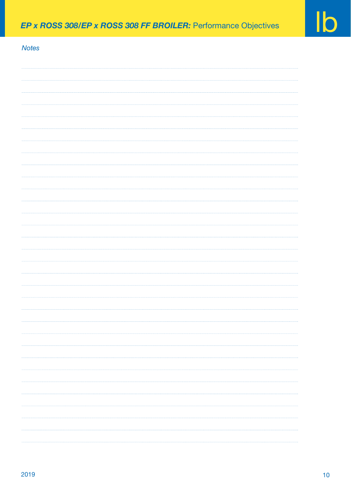# *Notes*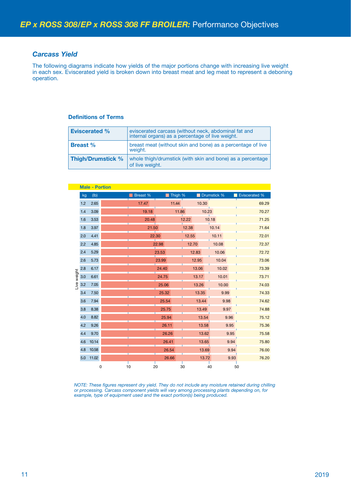#### *Carcass Yield*

The following diagrams indicate how yields of the major portions change with increasing live weight in each sex. Eviscerated yield is broken down into breast meat and leg meat to represent a deboning operation.

#### **Definitions of Terms**

| <b>Eviscerated %</b>     | eviscerated carcass (without neck, abdominal fat and<br>internal organs) as a percentage of live weight. |
|--------------------------|----------------------------------------------------------------------------------------------------------|
| <b>Breast</b> %          | breast meat (without skin and bone) as a percentage of live<br>weight.                                   |
| <b>Thigh/Drumstick %</b> | whole thigh/drumstick (with skin and bone) as a percentage<br>of live weight.                            |

|            |     | <b>Male - Portion</b> |    |          |       |         |       |       |             |      |               |
|------------|-----|-----------------------|----|----------|-------|---------|-------|-------|-------------|------|---------------|
|            | kg  | (lb)                  |    | Breast % |       | Thigh % |       |       | Drumstick % |      | Eviscerated % |
|            | 1.2 | 2.65                  |    | 17.47    |       | 11.44   |       | 10.30 |             |      | 69.29         |
|            | 1.4 | 3.09                  |    | 19.18    |       | 11.86   |       | 10.23 |             |      | 70.27         |
|            | 1.6 | 3.53                  |    | 20.48    |       |         | 12.22 |       | 10.18       |      | 71.25         |
|            | 1.8 | 3.97                  |    | 21.50    |       |         | 12.38 |       | 10.14       |      | 71.64         |
|            | 2.0 | 4.41                  |    | 22.30    |       |         | 12.55 |       | 10.11       |      | 72.01         |
|            | 2.2 | 4.85                  |    |          | 22.98 |         | 12.70 |       | 10.08       |      | 72.37         |
|            | 2.4 | 5.29                  |    |          | 23.53 |         | 12.83 |       | 10.06       |      | 72.72         |
|            | 2.6 | 5.73                  |    |          | 23.99 |         |       | 12.95 | 10.04       |      | 73.06         |
|            | 2.8 | 6.17                  |    |          | 24.40 |         |       | 13.06 | 10.02       |      | 73.39         |
| ive weight | 3.0 | 6.61                  |    |          | 24.75 |         |       | 13.17 | 10.01       |      | 73.71         |
|            | 3.2 | 7.05                  |    |          | 25.06 |         |       | 13.26 | 10.00       |      | 74.03         |
|            | 3.4 | 7.50                  |    |          | 25.32 |         |       | 13.35 | 9.99        |      | 74.33         |
|            | 3.6 | 7.94                  |    |          | 25.54 |         |       | 13.44 | 9.98        |      | 74.62         |
|            | 3.8 | 8.38                  |    |          | 25.75 |         |       | 13.49 | 9.97        |      | 74.88         |
|            | 4.0 | 8.82                  |    |          | 25.94 |         |       | 13.54 |             | 9.96 | 75.12         |
|            | 4.2 | 9.26                  |    |          | 26.11 |         |       | 13.58 |             | 9.95 | 75.36         |
|            | 4.4 | 9.70                  |    |          | 26.26 |         |       | 13.62 |             | 9.95 | 75.58         |
|            | 4.6 | 10.14                 |    |          | 26.41 |         |       | 13.65 |             | 9.94 | 75.80         |
|            | 4.8 | 10.58                 |    |          | 26.54 |         |       | 13.69 |             | 9.94 | 76.00         |
|            | 5.0 | 11.02                 |    |          | 26.66 |         |       | 13.72 |             | 9.93 | 76.20         |
|            |     | $\mathbf 0$           | 10 | 20       |       | 30      |       | 40    |             |      | 50            |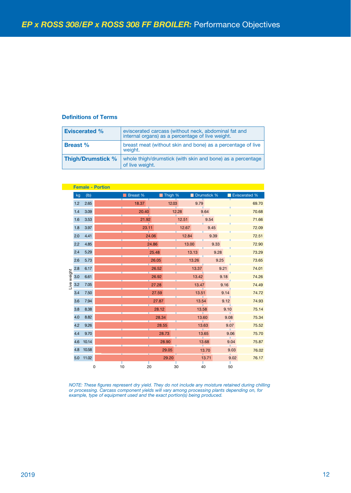#### **Definitions of Terms**

| <b>Eviscerated %</b>     | eviscerated carcass (without neck, abdominal fat and<br>internal organs) as a percentage of live weight. |
|--------------------------|----------------------------------------------------------------------------------------------------------|
| <b>Breast</b> %          | breast meat (without skin and bone) as a percentage of live<br>weight.                                   |
| <b>Thigh/Drumstick %</b> | whole thigh/drumstick (with skin and bone) as a percentage<br>of live weight.                            |

|             |     |       | <b>Female - Portion</b> |          |       |         |       |       |             |      |               |
|-------------|-----|-------|-------------------------|----------|-------|---------|-------|-------|-------------|------|---------------|
|             | kg  | (Ib)  |                         | Breast % |       | Thigh % |       |       | Drumstick % |      | Eviscerated % |
|             | 1.2 | 2.65  |                         | 18.37    |       | 12.03   |       | 9.79  |             |      | 69.70         |
|             | 1.4 | 3.09  |                         | 20.40    |       | 12.28   |       | 9.64  |             |      | 70.68         |
|             | 1.6 | 3.53  |                         | 21.92    |       |         | 12.51 |       | 9.54        |      | 71.66         |
|             | 1.8 | 3.97  |                         | 23.11    |       |         | 12.67 |       | 9.45        |      | 72.09         |
|             | 2.0 | 4.41  |                         |          | 24.06 |         | 12.84 |       | 9.39        |      | 72.51         |
|             | 2.2 | 4.85  |                         |          | 24.86 |         | 13.00 |       | 9.33        |      | 72.90         |
|             | 2.4 | 5.29  |                         |          | 25.48 |         | 13.13 |       | 9.28        |      | 73.29         |
|             | 2.6 | 5.73  |                         |          | 26.05 |         | 13.26 |       | 9.25        |      | 73.65         |
|             | 2.8 | 6.17  |                         |          | 26.52 |         |       | 13.37 | 9.21        |      | 74.01         |
| Live weight | 3.0 | 6.61  |                         |          | 26.92 |         |       | 13.42 | 9.18        |      | 74.26         |
|             | 3.2 | 7.05  |                         |          | 27.28 |         |       | 13.47 | 9.16        |      | 74.49         |
|             | 3.4 | 7.50  |                         |          | 27.59 |         |       | 13.51 | 9.14        |      | 74.72         |
|             | 3.6 | 7.94  |                         |          | 27.87 |         |       | 13.54 | 9.12        |      | 74.93         |
|             | 3.8 | 8.38  |                         |          | 28.12 |         |       | 13.58 | 9.10        |      | 75.14         |
|             | 4.0 | 8.82  |                         |          | 28.34 |         |       | 13.60 | 9.08        |      | 75.34         |
|             | 4.2 | 9.26  |                         |          | 28.55 |         |       | 13.63 |             | 9.07 | 75.52         |
|             | 4.4 | 9.70  |                         |          | 28.73 |         |       | 13.65 |             | 9.06 | 75.70         |
|             | 4.6 | 10.14 |                         |          | 28.90 |         |       | 13.68 |             | 9.04 | 75.87         |
|             | 4.8 | 10.58 |                         |          | 29.05 |         |       | 13.70 |             | 9.03 | 76.02         |
|             | 5.0 | 11.02 |                         |          | 29.20 |         |       | 13.71 |             | 9.02 | 76.17         |
|             |     |       | 0                       | 10<br>20 |       | 30      |       | 40    |             | 50   |               |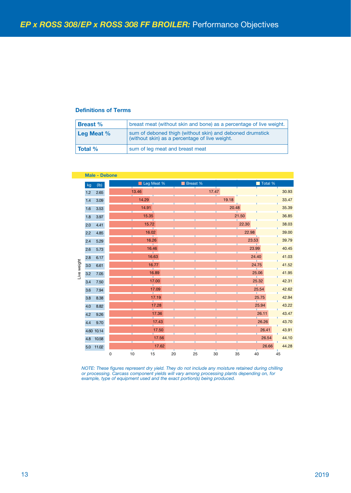#### **Definitions of Terms**

| <b>Breast</b> % | breast meat (without skin and bone) as a percentage of live weight.                                         |
|-----------------|-------------------------------------------------------------------------------------------------------------|
| Leg Meat $%$    | sum of deboned thigh (without skin) and deboned drumstick<br>(without skin) as a percentage of live weight. |
| <b>Total %</b>  | sum of leg meat and breast meat                                                                             |

| kg                 | (Ib)                                                                                                                                                                                 |                                                                                                    | Leg Meat % |       |    | Breast % |        |          | Total % |       |
|--------------------|--------------------------------------------------------------------------------------------------------------------------------------------------------------------------------------|----------------------------------------------------------------------------------------------------|------------|-------|----|----------|--------|----------|---------|-------|
|                    | $1.2$ 2.65                                                                                                                                                                           |                                                                                                    | 13.46      |       |    |          | 17.47  |          |         | 30.93 |
| $1.4$              | 3.09                                                                                                                                                                                 |                                                                                                    | 14.29      |       |    |          | 19.18  |          |         | 33.47 |
| 1.6                | 3.53                                                                                                                                                                                 |                                                                                                    | 14.91      |       |    |          | 20.48  |          |         | 35.39 |
| 1.8                | 3.97                                                                                                                                                                                 |                                                                                                    | 15.35      |       |    |          |        | 21.50    |         | 36.85 |
| 2.0                | 4.41                                                                                                                                                                                 |                                                                                                    | 15.72      |       |    |          |        | 22.30    |         | 38.03 |
| 2.2                | 4.85                                                                                                                                                                                 |                                                                                                    | 16.02      |       |    |          |        | 22.98    |         | 39.00 |
| 2.4                | 5.29                                                                                                                                                                                 |                                                                                                    | 16.26      |       |    |          |        | 23.53    |         | 39.79 |
| 2.6                | 5.73                                                                                                                                                                                 |                                                                                                    | 16.46      |       |    |          |        | 23.99    |         | 40.45 |
| 2.8                | 6.17                                                                                                                                                                                 |                                                                                                    |            | 16.63 |    |          |        | 24.40    |         | 41.03 |
| 3.0                | 6.61                                                                                                                                                                                 |                                                                                                    |            | 16.77 |    |          |        | 24.75    |         | 41.52 |
| Live weight<br>3.2 | $7.05$                                                                                                                                                                               |                                                                                                    |            | 16.89 |    |          |        |          | 25.06   | 41.95 |
| 3.4                | $7.50\,$                                                                                                                                                                             |                                                                                                    |            | 17.00 |    |          |        |          | 25.32   | 42.31 |
| 3.6                | 7.94                                                                                                                                                                                 |                                                                                                    |            | 17.09 |    |          |        |          | 25.54   | 42.62 |
| 3.8                | 8.38                                                                                                                                                                                 |                                                                                                    |            | 17.19 |    |          |        |          | 25.75   | 42.94 |
| 4.0                | 8.82                                                                                                                                                                                 |                                                                                                    |            | 17.28 |    |          |        |          | 25.94   | 43.22 |
|                    | 4.2 9.26                                                                                                                                                                             |                                                                                                    |            | 17.36 |    |          |        |          | 26.11   | 43.47 |
| 4.4                | 9.70                                                                                                                                                                                 |                                                                                                    |            | 17.43 |    |          |        |          | 26.26   | 43.70 |
|                    | 4.60 10.14                                                                                                                                                                           |                                                                                                    |            | 17.50 |    |          |        |          | 26.41   | 43.91 |
|                    | 4.8 10.58                                                                                                                                                                            |                                                                                                    |            | 17.56 |    |          |        |          | 26.54   | 44.10 |
|                    |                                                                                                                                                                                      |                                                                                                    |            | 17.62 |    |          |        |          | 26.66   | 44.28 |
|                    |                                                                                                                                                                                      | 0                                                                                                  | $10$<br>15 |       | 20 | 25       | $30\,$ | 35<br>40 |         | 45    |
|                    | 5.0 11.02<br>or processing. Carcass component yields will vary among processing plants depending on, for<br>example, type of equipment used and the exact portion(s) being produced. | NOTE: These figures represent dry yield. They do not include any moisture retained during chilling |            |       |    |          |        |          |         |       |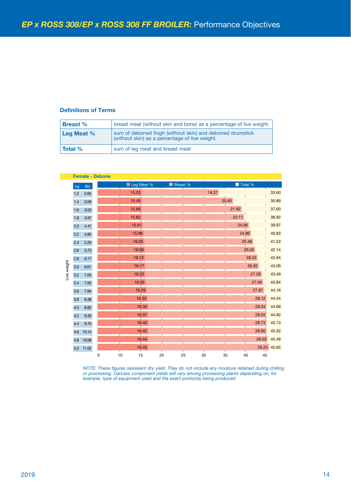#### **Definitions of Terms**

| <b>Breast</b> % | breast meat (without skin and bone) as a percentage of live weight.                                         |
|-----------------|-------------------------------------------------------------------------------------------------------------|
| Leg Meat $%$    | sum of deboned thigh (without skin) and deboned drumstick<br>(without skin) as a percentage of live weight. |
| <b>Total</b> %  | sum of leg meat and breast meat                                                                             |

| (Ib)<br>kg<br>15.23<br>18.37<br>33.60<br>2.65<br>$1.2$<br>35.89<br>15.49<br>20.40<br>$1.4\,$<br>$3.09$<br>21.92<br>15.68<br>37.60<br>$1.6$<br>$3.53$<br>15.82<br>23.11<br>38.92<br>1.8<br>$3.97\,$<br>24.06<br>39.97<br>15.91<br>4.41<br>2.0<br>15.98<br>24.86<br>40.83<br>2.2<br>4.85<br>16.05<br>25.48<br>41.53<br>2.4<br>5.29<br>16.09<br>26.05<br>42.14<br>2.6<br>5.73<br>16.12<br>26.52<br>42.64<br>2.8<br>6.17<br>Live weight<br>26.92<br>43.09<br>16.17<br>3.0<br>6.61<br>16.22<br>27.28<br>43.49<br>3.2<br>7.05<br>16.25<br>27.59<br>43.84<br>3.4<br>7.50<br>16.29<br>27.87<br>44.16<br>3.6<br>7.94<br>44.44<br>16.32<br>28.12<br>$3.8\,$<br>8.38<br>16.35<br>28.34<br>44.69<br>4.0<br>8.82<br>16.37<br>28.55<br>44.92<br>4.2<br>9.26<br>28.73<br>45.13<br>16.40<br>$4.4\,$<br>9.70<br>16.42<br>28.90<br>45.32<br>4.6<br>10.14<br>45.49<br>29.05<br>16.44<br>4.8<br>10.58<br>29.20 45.65<br>16.45<br>5.0 11.02<br>25<br>$15\,$<br>$\pmb{0}$<br>$10$<br>45<br>20<br>$30\,$<br>35<br>40<br>or processing. Carcass component yields will vary among processing plants depending on, for<br>example, type of equipment used and the exact portion(s) being produced. |  |  |
|--------------------------------------------------------------------------------------------------------------------------------------------------------------------------------------------------------------------------------------------------------------------------------------------------------------------------------------------------------------------------------------------------------------------------------------------------------------------------------------------------------------------------------------------------------------------------------------------------------------------------------------------------------------------------------------------------------------------------------------------------------------------------------------------------------------------------------------------------------------------------------------------------------------------------------------------------------------------------------------------------------------------------------------------------------------------------------------------------------------------------------------------------------------------------|--|--|
|                                                                                                                                                                                                                                                                                                                                                                                                                                                                                                                                                                                                                                                                                                                                                                                                                                                                                                                                                                                                                                                                                                                                                                          |  |  |
|                                                                                                                                                                                                                                                                                                                                                                                                                                                                                                                                                                                                                                                                                                                                                                                                                                                                                                                                                                                                                                                                                                                                                                          |  |  |
|                                                                                                                                                                                                                                                                                                                                                                                                                                                                                                                                                                                                                                                                                                                                                                                                                                                                                                                                                                                                                                                                                                                                                                          |  |  |
|                                                                                                                                                                                                                                                                                                                                                                                                                                                                                                                                                                                                                                                                                                                                                                                                                                                                                                                                                                                                                                                                                                                                                                          |  |  |
|                                                                                                                                                                                                                                                                                                                                                                                                                                                                                                                                                                                                                                                                                                                                                                                                                                                                                                                                                                                                                                                                                                                                                                          |  |  |
|                                                                                                                                                                                                                                                                                                                                                                                                                                                                                                                                                                                                                                                                                                                                                                                                                                                                                                                                                                                                                                                                                                                                                                          |  |  |
|                                                                                                                                                                                                                                                                                                                                                                                                                                                                                                                                                                                                                                                                                                                                                                                                                                                                                                                                                                                                                                                                                                                                                                          |  |  |
|                                                                                                                                                                                                                                                                                                                                                                                                                                                                                                                                                                                                                                                                                                                                                                                                                                                                                                                                                                                                                                                                                                                                                                          |  |  |
|                                                                                                                                                                                                                                                                                                                                                                                                                                                                                                                                                                                                                                                                                                                                                                                                                                                                                                                                                                                                                                                                                                                                                                          |  |  |
|                                                                                                                                                                                                                                                                                                                                                                                                                                                                                                                                                                                                                                                                                                                                                                                                                                                                                                                                                                                                                                                                                                                                                                          |  |  |
| NOTE: These figures represent dry yield. They do not include any moisture retained during chilling                                                                                                                                                                                                                                                                                                                                                                                                                                                                                                                                                                                                                                                                                                                                                                                                                                                                                                                                                                                                                                                                       |  |  |
|                                                                                                                                                                                                                                                                                                                                                                                                                                                                                                                                                                                                                                                                                                                                                                                                                                                                                                                                                                                                                                                                                                                                                                          |  |  |
|                                                                                                                                                                                                                                                                                                                                                                                                                                                                                                                                                                                                                                                                                                                                                                                                                                                                                                                                                                                                                                                                                                                                                                          |  |  |
|                                                                                                                                                                                                                                                                                                                                                                                                                                                                                                                                                                                                                                                                                                                                                                                                                                                                                                                                                                                                                                                                                                                                                                          |  |  |
|                                                                                                                                                                                                                                                                                                                                                                                                                                                                                                                                                                                                                                                                                                                                                                                                                                                                                                                                                                                                                                                                                                                                                                          |  |  |
|                                                                                                                                                                                                                                                                                                                                                                                                                                                                                                                                                                                                                                                                                                                                                                                                                                                                                                                                                                                                                                                                                                                                                                          |  |  |
|                                                                                                                                                                                                                                                                                                                                                                                                                                                                                                                                                                                                                                                                                                                                                                                                                                                                                                                                                                                                                                                                                                                                                                          |  |  |
|                                                                                                                                                                                                                                                                                                                                                                                                                                                                                                                                                                                                                                                                                                                                                                                                                                                                                                                                                                                                                                                                                                                                                                          |  |  |
|                                                                                                                                                                                                                                                                                                                                                                                                                                                                                                                                                                                                                                                                                                                                                                                                                                                                                                                                                                                                                                                                                                                                                                          |  |  |
|                                                                                                                                                                                                                                                                                                                                                                                                                                                                                                                                                                                                                                                                                                                                                                                                                                                                                                                                                                                                                                                                                                                                                                          |  |  |
|                                                                                                                                                                                                                                                                                                                                                                                                                                                                                                                                                                                                                                                                                                                                                                                                                                                                                                                                                                                                                                                                                                                                                                          |  |  |
|                                                                                                                                                                                                                                                                                                                                                                                                                                                                                                                                                                                                                                                                                                                                                                                                                                                                                                                                                                                                                                                                                                                                                                          |  |  |
|                                                                                                                                                                                                                                                                                                                                                                                                                                                                                                                                                                                                                                                                                                                                                                                                                                                                                                                                                                                                                                                                                                                                                                          |  |  |
|                                                                                                                                                                                                                                                                                                                                                                                                                                                                                                                                                                                                                                                                                                                                                                                                                                                                                                                                                                                                                                                                                                                                                                          |  |  |
|                                                                                                                                                                                                                                                                                                                                                                                                                                                                                                                                                                                                                                                                                                                                                                                                                                                                                                                                                                                                                                                                                                                                                                          |  |  |
|                                                                                                                                                                                                                                                                                                                                                                                                                                                                                                                                                                                                                                                                                                                                                                                                                                                                                                                                                                                                                                                                                                                                                                          |  |  |